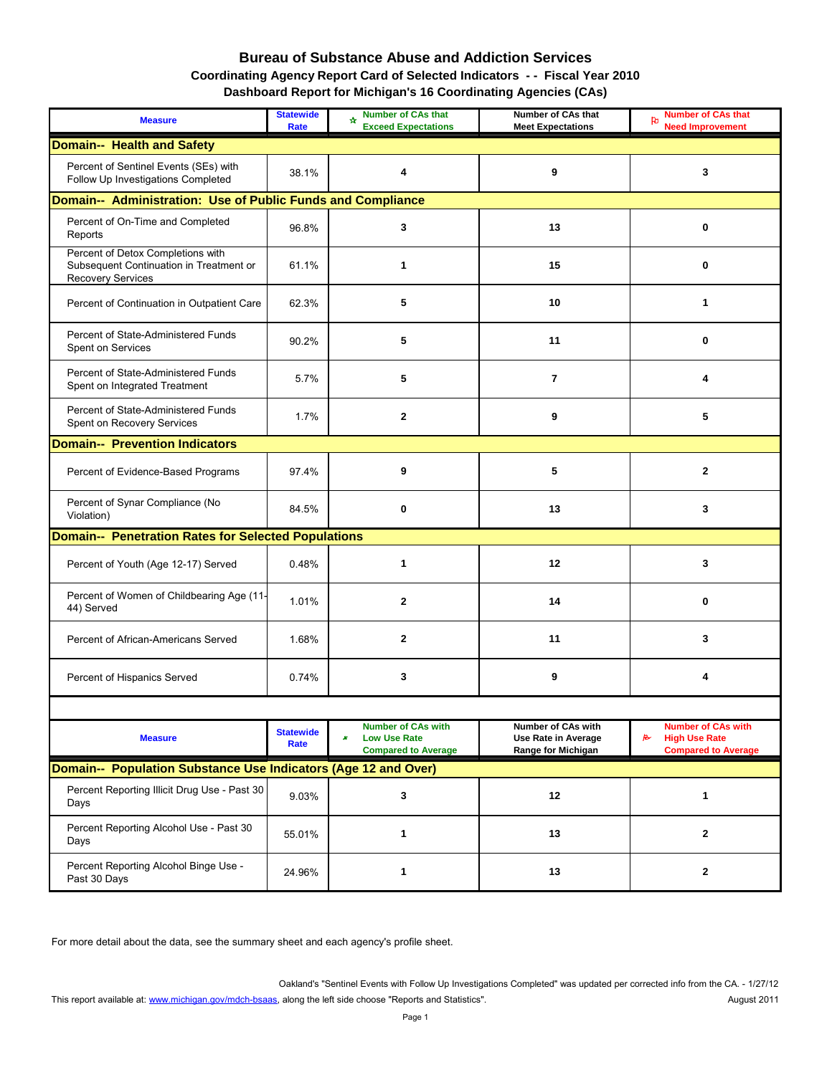#### **Bureau of Substance Abuse and Addiction Services Coordinating Agency Report Card of Selected Indicators - - Fiscal Year 2010 Dashboard Report for Michigan's 16 Coordinating Agencies (CAs)**

| <b>Measure</b>                                                                                           | <b>Statewide</b><br><b>Rate</b> | <b>Number of CAs that</b><br>₩<br><b>Exceed Expectations</b>                                | <b>Number of CAs that</b><br><b>Meet Expectations</b>                                | <b>Number of CAs that</b><br>ਇ<br><b>Need Improvement</b>                                    |  |  |  |  |
|----------------------------------------------------------------------------------------------------------|---------------------------------|---------------------------------------------------------------------------------------------|--------------------------------------------------------------------------------------|----------------------------------------------------------------------------------------------|--|--|--|--|
| <b>Domain-- Health and Safety</b>                                                                        |                                 |                                                                                             |                                                                                      |                                                                                              |  |  |  |  |
| Percent of Sentinel Events (SEs) with<br>Follow Up Investigations Completed                              | 38.1%                           | 4                                                                                           | 9                                                                                    | 3                                                                                            |  |  |  |  |
| Domain-- Administration: Use of Public Funds and Compliance                                              |                                 |                                                                                             |                                                                                      |                                                                                              |  |  |  |  |
| Percent of On-Time and Completed<br>Reports                                                              | 96.8%                           | 3                                                                                           | 13                                                                                   | 0                                                                                            |  |  |  |  |
| Percent of Detox Completions with<br>Subsequent Continuation in Treatment or<br><b>Recovery Services</b> | 61.1%                           | 1                                                                                           | 15                                                                                   | 0                                                                                            |  |  |  |  |
| Percent of Continuation in Outpatient Care                                                               | 62.3%                           | 5                                                                                           | 10                                                                                   | 1                                                                                            |  |  |  |  |
| Percent of State-Administered Funds<br>Spent on Services                                                 | 90.2%                           | 5                                                                                           | 11                                                                                   | $\bf{0}$                                                                                     |  |  |  |  |
| Percent of State-Administered Funds<br>Spent on Integrated Treatment                                     | 5.7%                            | 5                                                                                           | $\overline{7}$                                                                       | 4                                                                                            |  |  |  |  |
| Percent of State-Administered Funds<br>Spent on Recovery Services                                        | 1.7%                            | $\mathbf 2$                                                                                 | 9                                                                                    | 5                                                                                            |  |  |  |  |
| <b>Domain-- Prevention Indicators</b>                                                                    |                                 |                                                                                             |                                                                                      |                                                                                              |  |  |  |  |
| Percent of Evidence-Based Programs                                                                       | 97.4%                           | 9                                                                                           | 5                                                                                    | $\mathbf{2}$                                                                                 |  |  |  |  |
| Percent of Synar Compliance (No<br>Violation)                                                            | 84.5%                           | $\bf{0}$                                                                                    | 13                                                                                   | 3                                                                                            |  |  |  |  |
| Domain-- Penetration Rates for Selected Populations                                                      |                                 |                                                                                             |                                                                                      |                                                                                              |  |  |  |  |
| Percent of Youth (Age 12-17) Served                                                                      | 0.48%                           |                                                                                             | 12                                                                                   | 3                                                                                            |  |  |  |  |
| Percent of Women of Childbearing Age (11-<br>44) Served                                                  | 1.01%                           | $\mathbf{2}$                                                                                | 14                                                                                   | $\bf{0}$                                                                                     |  |  |  |  |
| Percent of African-Americans Served                                                                      | 1.68%                           | $\mathbf 2$                                                                                 | 11                                                                                   | 3                                                                                            |  |  |  |  |
| Percent of Hispanics Served                                                                              | 0.74%                           | $\mathbf 3$                                                                                 | $\boldsymbol{9}$                                                                     | 4                                                                                            |  |  |  |  |
|                                                                                                          |                                 |                                                                                             |                                                                                      |                                                                                              |  |  |  |  |
| <b>Measure</b>                                                                                           | <b>Statewide</b><br><b>Rate</b> | <b>Number of CAs with</b><br><b>Low Use Rate</b><br>$\pmb{x}$<br><b>Compared to Average</b> | <b>Number of CAs with</b><br><b>Use Rate in Average</b><br><b>Range for Michigan</b> | <b>Number of CAs with</b><br>$\approx$<br><b>High Use Rate</b><br><b>Compared to Average</b> |  |  |  |  |
| Domain-- Population Substance Use Indicators (Age 12 and Over)                                           |                                 |                                                                                             |                                                                                      |                                                                                              |  |  |  |  |
| Percent Reporting Illicit Drug Use - Past 30<br>Days                                                     | 9.03%                           | $\mathbf 3$                                                                                 | 12                                                                                   | 1                                                                                            |  |  |  |  |
| Percent Reporting Alcohol Use - Past 30<br>Days                                                          | 55.01%                          | 1                                                                                           | 13                                                                                   | $\mathbf{2}$                                                                                 |  |  |  |  |
| Percent Reporting Alcohol Binge Use -<br>Past 30 Days                                                    | 24.96%                          | 1                                                                                           | 13                                                                                   | $\mathbf{2}$                                                                                 |  |  |  |  |

For more detail about the data, see the summary sheet and each agency's profile sheet.

Oakland's "Sentinel Events with Follow Up Investigations Completed" was updated per corrected info from the CA. - 1/27/12 August 2011 [This report available at: www.michigan.gov/mdch-bsaas](http://www.michigan.gov/mdch-bsaas), along the left side choose "Reports and Statistics".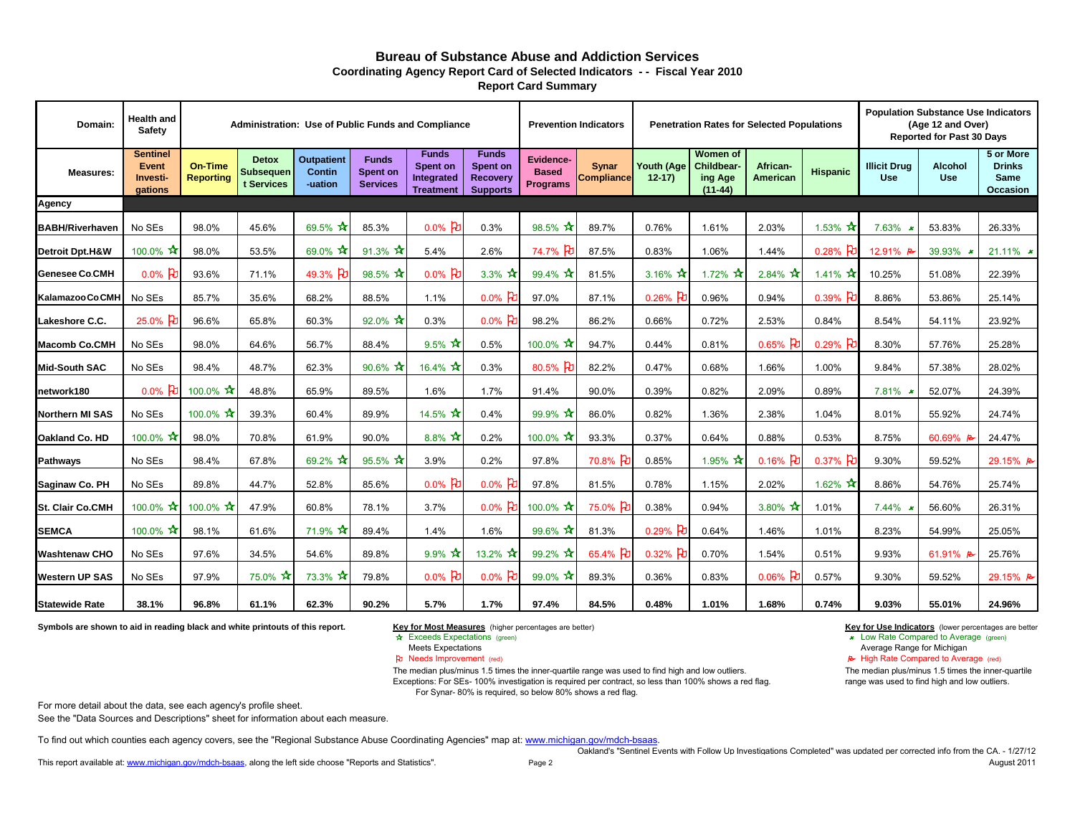| Domain:                    | <b>Health and</b><br><b>Safety</b>              |                                    |                                                | <b>Administration: Use of Public Funds and Compliance</b> |                                                    |                                                                          |                                                                       |                                                     | <b>Prevention Indicators</b><br><b>Penetration Rates for Selected Populations</b> |                              | <b>Population Substance Use Indicators</b><br>(Age 12 and Over)<br><b>Reported for Past 30 Days</b> |                                    |                                     |                                   |                              |                                                              |
|----------------------------|-------------------------------------------------|------------------------------------|------------------------------------------------|-----------------------------------------------------------|----------------------------------------------------|--------------------------------------------------------------------------|-----------------------------------------------------------------------|-----------------------------------------------------|-----------------------------------------------------------------------------------|------------------------------|-----------------------------------------------------------------------------------------------------|------------------------------------|-------------------------------------|-----------------------------------|------------------------------|--------------------------------------------------------------|
| <b>Measures:</b>           | <b>Sentinel</b><br>Event<br>Investi-<br>gations | <b>On-Time</b><br><b>Reporting</b> | <b>Detox</b><br><b>Subsequen</b><br>t Services | <b>Outpatient</b><br><b>Contin</b><br>-uation             | <b>Funds</b><br><b>Spent on</b><br><b>Services</b> | <b>Funds</b><br><b>Spent on</b><br><b>Integrated</b><br><b>Treatment</b> | <b>Funds</b><br><b>Spent on</b><br><b>Recovery</b><br><b>Supports</b> | <b>Evidence-</b><br><b>Based</b><br><b>Programs</b> | <b>Synar</b><br><b>Compliance</b>                                                 | <b>Youth (Age</b><br>$12-17$ | <b>Women</b> of<br><b>Childbear-</b><br>ing Age<br>$(11-44)$                                        | <b>African-</b><br><b>American</b> | <b>Hispanic</b>                     | <b>Illicit Drug</b><br><b>Use</b> | <b>Alcohol</b><br><b>Use</b> | 5 or More<br><b>Drinks</b><br><b>Same</b><br><b>Occasion</b> |
| <b>Agency</b>              |                                                 |                                    |                                                |                                                           |                                                    |                                                                          |                                                                       |                                                     |                                                                                   |                              |                                                                                                     |                                    |                                     |                                   |                              |                                                              |
| <b>BABH/Riverhaven</b>     | No SEs                                          | 98.0%                              | 45.6%                                          | 69.5%                                                     | 85.3%                                              | $0.0\%$ 2                                                                | 0.3%                                                                  | $98.5\%$ $\lambda$                                  | 89.7%                                                                             | 0.76%                        | 1.61%                                                                                               | 2.03%                              | $1.53\%$ $\boldsymbol{\mathcal{X}}$ | 7.63%                             | 53.83%                       | 26.33%                                                       |
| <b>Detroit Dpt.H&amp;W</b> | 100.0% $\sqrt{2}$                               | 98.0%                              | 53.5%                                          | $69.0\%$ $\pi$                                            | 91.3% $\mathbf{\hat{x}}$                           | 5.4%                                                                     | 2.6%                                                                  | 74.7%<br>Н                                          | 87.5%                                                                             | 0.83%                        | 1.06%                                                                                               | 1.44%                              | 0.28% P                             | 12.91%                            | 39.93%                       | 21.11% $\star$                                               |
| <b>Genesee Co.CMH</b>      | 0.0% $E$                                        | 93.6%                              | 71.1%                                          | 49.3% $\bm{E}$                                            | $98.5\% \times$                                    | 0.0% $E$                                                                 | 3.3% $\pi$                                                            | $99.4\%$ $\sqrt{\phantom{1}}$                       | 81.5%                                                                             | 3.16% $\sqrt{2}$             | 1.72% $\vec{X}$                                                                                     | $2.84\% \times$                    | 1.41% $\vec{X}$                     | 10.25%                            | 51.08%                       | 22.39%                                                       |
| Kalamazoo Co.CMH           | No SEs                                          | 85.7%                              | 35.6%                                          | 68.2%                                                     | 88.5%                                              | 1.1%                                                                     | 0.0% $\upbeta$                                                        | 97.0%                                               | 87.1%                                                                             | $0.26%$ 】                    | 0.96%                                                                                               | 0.94%                              | $0.39%$ 刊                           | 8.86%                             | 53.86%                       | 25.14%                                                       |
| Lakeshore C.C.             | $25.0\%$ P                                      | 96.6%                              | 65.8%                                          | 60.3%                                                     | $92.0\%$ $\star$                                   | 0.3%                                                                     | $0.0\%$ PU                                                            | 98.2%                                               | 86.2%                                                                             | 0.66%                        | 0.72%                                                                                               | 2.53%                              | 0.84%                               | 8.54%                             | 54.11%                       | 23.92%                                                       |
| <b>Macomb Co.CMH</b>       | No SEs                                          | 98.0%                              | 64.6%                                          | 56.7%                                                     | 88.4%                                              | 9.5% $\pi$                                                               | 0.5%                                                                  | 100.0% $\sqrt{\lambda}$                             | 94.7%                                                                             | 0.44%                        | 0.81%                                                                                               | $0.65%$ PU                         | $0.29%$ 권                           | 8.30%                             | 57.76%                       | 25.28%                                                       |
| <b>Mid-South SAC</b>       | No SEs                                          | 98.4%                              | 48.7%                                          | 62.3%                                                     | 90.6% $*$                                          | 16.4% $\mathbf{\hat{x}}$                                                 | 0.3%                                                                  | $80.5\%$ 2                                          | 82.2%                                                                             | 0.47%                        | 0.68%                                                                                               | 1.66%                              | 1.00%                               | 9.84%                             | 57.38%                       | 28.02%                                                       |
| network180                 | $0.0\%$ PU                                      | 100.0% $\mathbf{\hat{x}}$          | 48.8%                                          | 65.9%                                                     | 89.5%                                              | 1.6%                                                                     | 1.7%                                                                  | 91.4%                                               | 90.0%                                                                             | 0.39%                        | 0.82%                                                                                               | 2.09%                              | 0.89%                               | 7.81%                             | 52.07%                       | 24.39%                                                       |
| <b>Northern MI SAS</b>     | No SEs                                          | 100.0% $\mathbf{\hat{x}}$          | 39.3%                                          | 60.4%                                                     | 89.9%                                              | 14.5% $\mathbf{\hat{x}}$                                                 | 0.4%                                                                  | $99.9% \; \; \star$                                 | 86.0%                                                                             | 0.82%                        | 1.36%                                                                                               | 2.38%                              | 1.04%                               | 8.01%                             | 55.92%                       | 24.74%                                                       |
| Oakland Co. HD             | $100.0\%$ $\lambda$                             | 98.0%                              | 70.8%                                          | 61.9%                                                     | 90.0%                                              | 8.8% $\pi$                                                               | 0.2%                                                                  | 100.0% $\mathbf{\hat{x}}$                           | 93.3%                                                                             | 0.37%                        | 0.64%                                                                                               | 0.88%                              | 0.53%                               | 8.75%                             | 60.69% P                     | 24.47%                                                       |
| <b>Pathways</b>            | No SEs                                          | 98.4%                              | 67.8%                                          | $69.2% \; \star$                                          | $95.5\%$ $\star$                                   | 3.9%                                                                     | 0.2%                                                                  | 97.8%                                               | 70.8%                                                                             | 0.85%                        | 1.95% $\mathbf{\hat{x}}$                                                                            | 0.16% PD                           | $0.37%$ PU                          | 9.30%                             | 59.52%                       | 29.15% B                                                     |
| Saginaw Co. PH             | No SEs                                          | 89.8%                              | 44.7%                                          | 52.8%                                                     | 85.6%                                              | $0.0\%$ 2                                                                | $0.0\%$ 凡                                                             | 97.8%                                               | 81.5%                                                                             | 0.78%                        | 1.15%                                                                                               | 2.02%                              | 1.62% $\sqrt{x}$                    | 8.86%                             | 54.76%                       | 25.74%                                                       |
| <b>St. Clair Co.CMH</b>    | 100.0% $*$                                      | 100.0% $\mathbf{\hat{x}}$          | 47.9%                                          | 60.8%                                                     | 78.1%                                              | 3.7%                                                                     | 0.0% FU                                                               | 100.0% $\mathbf{\hat{x}}$                           | 75.0%                                                                             | 0.38%                        | 0.94%                                                                                               | 3.80% $*$                          | 1.01%                               | 7.44%                             | 56.60%                       | 26.31%                                                       |
| <b>SEMCA</b>               | 100.0% $\mathbf{\hat{x}}$                       | 98.1%                              | 61.6%                                          | 71.9% $\mathbf{\hat{x}}$                                  | 89.4%                                              | 1.4%                                                                     | 1.6%                                                                  | 99.6% $*$                                           | 81.3%                                                                             | $0.29%$ 권                    | 0.64%                                                                                               | 1.46%                              | 1.01%                               | 8.23%                             | 54.99%                       | 25.05%                                                       |
| <b>Washtenaw CHO</b>       | No SEs                                          | 97.6%                              | 34.5%                                          | 54.6%                                                     | 89.8%                                              | 9.9% $\mathbf{\hat{x}}$                                                  | 13.2% $\vec{X}$                                                       | $99.2\% \times$                                     | 65.4% 七                                                                           | 0.32% $ d $                  | 0.70%                                                                                               | 1.54%                              | 0.51%                               | 9.93%                             | 61.91% $\approx$             | 25.76%                                                       |
| <b>Western UP SAS</b>      | No SEs                                          | 97.9%                              | 75.0% $*$                                      | $73.3\%$ $\star$                                          | 79.8%                                              | 0.0% FU                                                                  | 0.0% 먼                                                                | 99.0% $\sqrt{\frac{1}{2}}$                          | 89.3%                                                                             | 0.36%                        | 0.83%                                                                                               | $0.06\%$ PU                        | 0.57%                               | 9.30%                             | 59.52%                       | 29.15% B                                                     |
| <b>Statewide Rate</b>      | 38.1%                                           | 96.8%                              | 61.1%                                          | 62.3%                                                     | 90.2%                                              | 5.7%                                                                     | 1.7%                                                                  | 97.4%                                               | 84.5%                                                                             | 0.48%                        | 1.01%                                                                                               | 1.68%                              | 0.74%                               | 9.03%                             | 55.01%                       | 24.96%                                                       |

For more detail about the data, see each agency's profile sheet.

See the "Data Sources and Descriptions" sheet for information about each measure.

[To find out which counties each agency covers, see the "Regional Substance Abuse Coordinating Agencies" map at: www.michigan.gov/mdch-bsaas](http://www.michigan.gov/documents/SA_CA_Contact_List_150817_7.pdf).

[This report available at: www.michigan.gov/mdch-bsaas](http://www.michigan.gov/mdch-bsaas), along the left side choose "Reports and Statistics".

**Key for Most Measures** (higher percentages are better) **Key for Use Indicators** (lower percentages are better \* Exceeds Expectations (green) **Exceeds** Expectations (green) **Exceeds** Expectations (green)

Meets Expectations **Average Range for Michigan**<br> **Average Range for Michigan**<br> **Average Range for Michigan**<br> **Average Range for Michigan**<br> **Average Range for Michigan**  $\blacktriangleright$  High Rate Compared to Average (red)

### **Bureau of Substance Abuse and Addiction Services**

**Report Card Summary**

Oakland's "Sentinel Events with Follow Up Investigations Completed" was updated per corrected info from the CA. - 1/27/12 August 2011

The median plus/minus 1.5 times the inner-quartile range was used to find high and low outliers. Exceptions: For SEs- 100% investigation is required per contract, so less than 100% shows a red flag.

For Synar- 80% is required, so below 80% shows a red flag.

**Coordinating Agency Report Card of Selected Indicators - - Fiscal Year 2010**

The median plus/minus 1.5 times the inner-quartile range was used to find high and low outliers.

**Symbols are shown to aid in reading black and white printouts of this report.**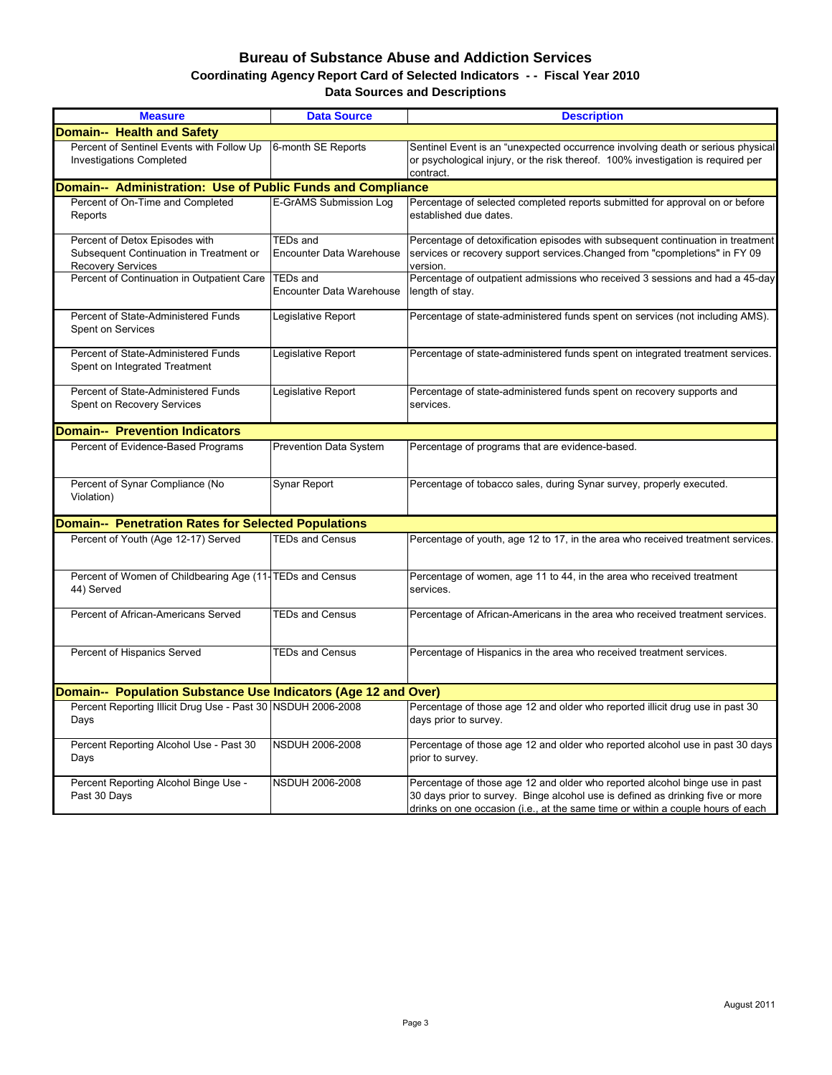## **Bureau of Substance Abuse and Addiction Services Data Sources and Descriptions Coordinating Agency Report Card of Selected Indicators - - Fiscal Year 2010**

| <b>Measure</b>                                                                                        | <b>Data Source</b>                                 | <b>Description</b>                                                                                                                                                                                                                               |
|-------------------------------------------------------------------------------------------------------|----------------------------------------------------|--------------------------------------------------------------------------------------------------------------------------------------------------------------------------------------------------------------------------------------------------|
| <b>Domain-- Health and Safety</b>                                                                     |                                                    |                                                                                                                                                                                                                                                  |
| Percent of Sentinel Events with Follow Up<br><b>Investigations Completed</b>                          | 6-month SE Reports                                 | Sentinel Event is an "unexpected occurrence involving death or serious physical<br>or psychological injury, or the risk thereof. 100% investigation is required per<br>contract.                                                                 |
| Domain-- Administration: Use of Public Funds and Compliance                                           |                                                    |                                                                                                                                                                                                                                                  |
| Percent of On-Time and Completed<br>Reports                                                           | E-GrAMS Submission Log                             | Percentage of selected completed reports submitted for approval on or before<br>established due dates.                                                                                                                                           |
| Percent of Detox Episodes with<br>Subsequent Continuation in Treatment or<br><b>Recovery Services</b> | <b>TEDs and</b><br><b>Encounter Data Warehouse</b> | Percentage of detoxification episodes with subsequent continuation in treatment<br>services or recovery support services. Changed from "cpompletions" in FY 09<br>version.                                                                       |
| Percent of Continuation in Outpatient Care                                                            | <b>TEDs and</b><br><b>Encounter Data Warehouse</b> | Percentage of outpatient admissions who received 3 sessions and had a 45-day<br>length of stay.                                                                                                                                                  |
| Percent of State-Administered Funds<br>Spent on Services                                              | Legislative Report                                 | Percentage of state-administered funds spent on services (not including AMS).                                                                                                                                                                    |
| Percent of State-Administered Funds<br>Spent on Integrated Treatment                                  | Legislative Report                                 | Percentage of state-administered funds spent on integrated treatment services.                                                                                                                                                                   |
| Percent of State-Administered Funds<br>Spent on Recovery Services                                     | Legislative Report                                 | Percentage of state-administered funds spent on recovery supports and<br>services.                                                                                                                                                               |
| <b>Domain-- Prevention Indicators</b>                                                                 |                                                    |                                                                                                                                                                                                                                                  |
| Percent of Evidence-Based Programs                                                                    | <b>Prevention Data System</b>                      | Percentage of programs that are evidence-based.                                                                                                                                                                                                  |
| Percent of Synar Compliance (No<br>Violation)                                                         | Synar Report                                       | Percentage of tobacco sales, during Synar survey, properly executed.                                                                                                                                                                             |
| <b>Domain-- Penetration Rates for Selected Populations</b>                                            |                                                    |                                                                                                                                                                                                                                                  |
| Percent of Youth (Age 12-17) Served                                                                   | <b>TEDs and Census</b>                             | Percentage of youth, age 12 to 17, in the area who received treatment services.                                                                                                                                                                  |
| Percent of Women of Childbearing Age (11-TEDs and Census<br>44) Served                                |                                                    | Percentage of women, age 11 to 44, in the area who received treatment<br>services.                                                                                                                                                               |
| Percent of African-Americans Served                                                                   | <b>TEDs and Census</b>                             | Percentage of African-Americans in the area who received treatment services.                                                                                                                                                                     |
| Percent of Hispanics Served                                                                           | <b>TEDs and Census</b>                             | Percentage of Hispanics in the area who received treatment services.                                                                                                                                                                             |
| Domain-- Population Substance Use Indicators (Age 12 and Over)                                        |                                                    |                                                                                                                                                                                                                                                  |
| Percent Reporting Illicit Drug Use - Past 30 NSDUH 2006-2008<br>Days                                  |                                                    | Percentage of those age 12 and older who reported illicit drug use in past 30<br>days prior to survey.                                                                                                                                           |
| Percent Reporting Alcohol Use - Past 30<br>Days                                                       | <b>NSDUH 2006-2008</b>                             | Percentage of those age 12 and older who reported alcohol use in past 30 days<br>prior to survey.                                                                                                                                                |
| Percent Reporting Alcohol Binge Use -<br>Past 30 Days                                                 | <b>NSDUH 2006-2008</b>                             | Percentage of those age 12 and older who reported alcohol binge use in past<br>30 days prior to survey. Binge alcohol use is defined as drinking five or more<br>drinks on one occasion (i.e., at the same time or within a couple hours of each |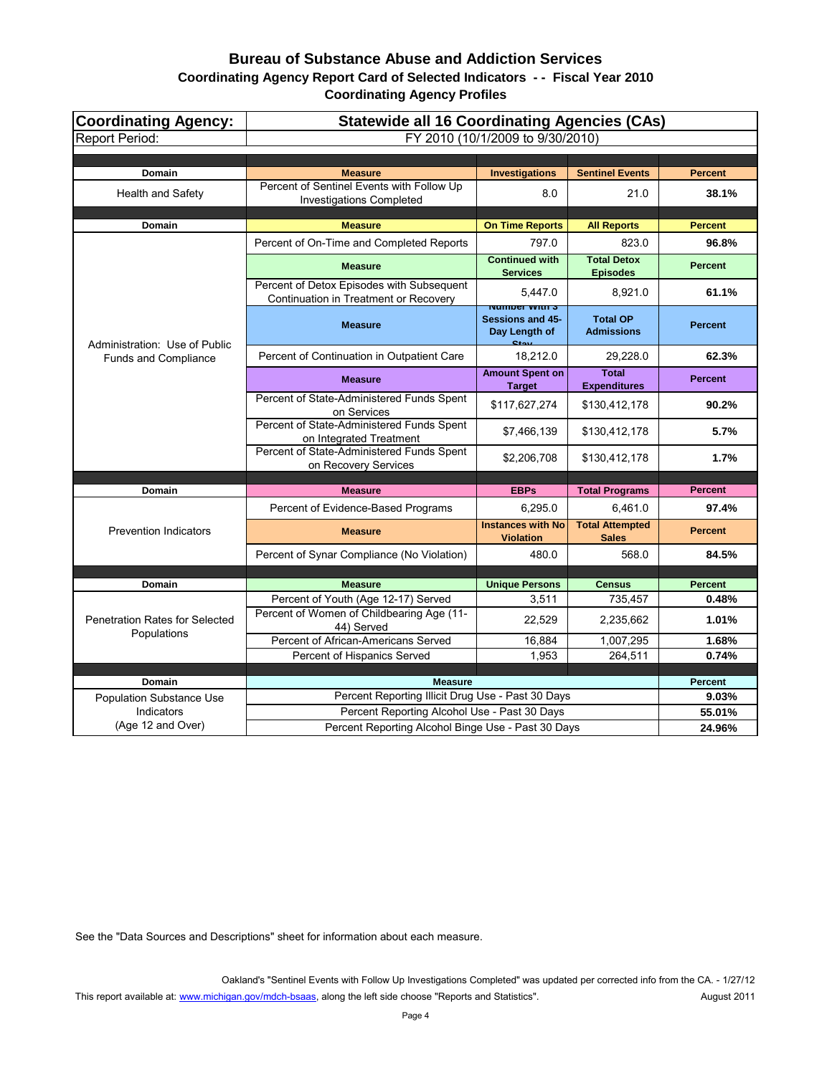# **Coordinating Agency Report Card of Selected Indicators - - Fiscal Year 2010 Bureau of Substance Abuse and Addiction Services**

| <b>Coordinating Agency:</b>           | <b>Statewide all 16 Coordinating Agencies (CAs)</b>                                |                                                                            |                                        |                |  |  |  |
|---------------------------------------|------------------------------------------------------------------------------------|----------------------------------------------------------------------------|----------------------------------------|----------------|--|--|--|
| <b>Report Period:</b>                 | FY 2010 (10/1/2009 to 9/30/2010)                                                   |                                                                            |                                        |                |  |  |  |
|                                       |                                                                                    |                                                                            |                                        |                |  |  |  |
| Domain                                | <b>Measure</b>                                                                     | <b>Investigations</b>                                                      | <b>Sentinel Events</b>                 | <b>Percent</b> |  |  |  |
| Health and Safety                     | Percent of Sentinel Events with Follow Up<br><b>Investigations Completed</b>       | 8.0                                                                        | 21.0                                   | 38.1%          |  |  |  |
| Domain                                | <b>Measure</b>                                                                     | <b>On Time Reports</b>                                                     | <b>All Reports</b>                     | <b>Percent</b> |  |  |  |
|                                       | Percent of On-Time and Completed Reports                                           | 797.0                                                                      | 823.0                                  | 96.8%          |  |  |  |
|                                       | <b>Measure</b>                                                                     | <b>Continued with</b><br><b>Services</b>                                   | <b>Total Detox</b><br><b>Episodes</b>  | <b>Percent</b> |  |  |  |
|                                       | Percent of Detox Episodes with Subsequent<br>Continuation in Treatment or Recovery | 5,447.0                                                                    | 8,921.0                                | 61.1%          |  |  |  |
| Administration: Use of Public         | <b>Measure</b>                                                                     | <u>ivumber vvitir s</u><br><b>Sessions and 45-</b><br>Day Length of<br>دمن | <b>Total OP</b><br><b>Admissions</b>   | <b>Percent</b> |  |  |  |
| <b>Funds and Compliance</b>           | Percent of Continuation in Outpatient Care                                         | 18,212.0                                                                   | 29,228.0                               | 62.3%          |  |  |  |
|                                       | <b>Measure</b>                                                                     | <b>Amount Spent on</b><br><b>Target</b>                                    | <b>Total</b><br><b>Expenditures</b>    | <b>Percent</b> |  |  |  |
|                                       | Percent of State-Administered Funds Spent<br>on Services                           | \$117,627,274                                                              | \$130,412,178                          | 90.2%          |  |  |  |
|                                       | Percent of State-Administered Funds Spent<br>on Integrated Treatment               | \$7,466,139                                                                | \$130,412,178                          | 5.7%           |  |  |  |
|                                       | Percent of State-Administered Funds Spent<br>on Recovery Services                  | \$2,206,708                                                                | \$130,412,178                          | 1.7%           |  |  |  |
|                                       |                                                                                    |                                                                            |                                        |                |  |  |  |
| Domain                                | <b>Measure</b>                                                                     | <b>EBPs</b>                                                                | <b>Total Programs</b>                  | <b>Percent</b> |  |  |  |
|                                       | Percent of Evidence-Based Programs                                                 | 6,295.0                                                                    | 6,461.0                                | 97.4%          |  |  |  |
| <b>Prevention Indicators</b>          | <b>Measure</b>                                                                     | <b>Instances with No</b><br><b>Violation</b>                               | <b>Total Attempted</b><br><b>Sales</b> | <b>Percent</b> |  |  |  |
|                                       | Percent of Synar Compliance (No Violation)                                         | 480.0                                                                      | 568.0                                  | 84.5%          |  |  |  |
|                                       |                                                                                    |                                                                            |                                        |                |  |  |  |
| Domain                                | <b>Measure</b>                                                                     | <b>Unique Persons</b>                                                      | <b>Census</b>                          | <b>Percent</b> |  |  |  |
|                                       | Percent of Youth (Age 12-17) Served<br>Percent of Women of Childbearing Age (11-   | 3,511                                                                      | 735,457                                | 0.48%          |  |  |  |
| <b>Penetration Rates for Selected</b> | 44) Served                                                                         | 22,529                                                                     | 2,235,662                              | 1.01%          |  |  |  |
| Populations                           | Percent of African-Americans Served                                                | 16,884                                                                     | 1,007,295                              | 1.68%          |  |  |  |
|                                       | Percent of Hispanics Served                                                        | 1,953                                                                      | 264,511                                | 0.74%          |  |  |  |
| Domain                                | <b>Measure</b>                                                                     |                                                                            |                                        | <b>Percent</b> |  |  |  |
| <b>Population Substance Use</b>       | Percent Reporting Illicit Drug Use - Past 30 Days                                  |                                                                            |                                        | 9.03%          |  |  |  |
| Indicators                            | Percent Reporting Alcohol Use - Past 30 Days                                       |                                                                            |                                        | 55.01%         |  |  |  |
| (Age 12 and Over)                     | Percent Reporting Alcohol Binge Use - Past 30 Days                                 |                                                                            |                                        | 24.96%         |  |  |  |

See the "Data Sources and Descriptions" sheet for information about each measure.

Oakland's "Sentinel Events with Follow Up Investigations Completed" was updated per corrected info from the CA. - 1/27/12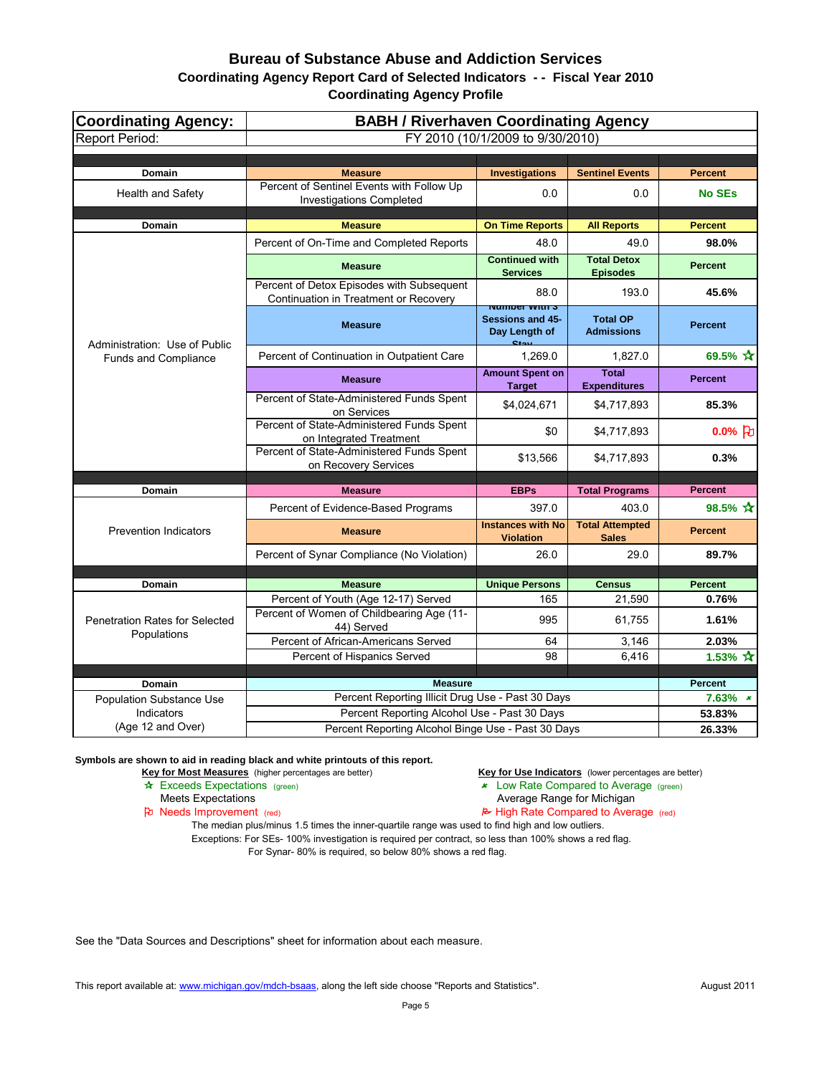| <b>Coordinating Agency:</b>                          | <b>BABH / Riverhaven Coordinating Agency</b>                                       |                                                                                              |                                        |                          |  |  |  |
|------------------------------------------------------|------------------------------------------------------------------------------------|----------------------------------------------------------------------------------------------|----------------------------------------|--------------------------|--|--|--|
| <b>Report Period:</b>                                |                                                                                    | FY 2010 (10/1/2009 to 9/30/2010)                                                             |                                        |                          |  |  |  |
| Domain                                               | <b>Measure</b>                                                                     | <b>Investigations</b>                                                                        | <b>Sentinel Events</b>                 | <b>Percent</b>           |  |  |  |
| <b>Health and Safety</b>                             | Percent of Sentinel Events with Follow Up<br><b>Investigations Completed</b>       | 0.0                                                                                          | 0.0                                    | <b>No SEs</b>            |  |  |  |
| Domain                                               | <b>Measure</b>                                                                     | <b>On Time Reports</b>                                                                       | <b>All Reports</b>                     | <b>Percent</b>           |  |  |  |
|                                                      | Percent of On-Time and Completed Reports                                           | 48.0                                                                                         | 49.0                                   | 98.0%                    |  |  |  |
|                                                      | <b>Measure</b>                                                                     | <b>Continued with</b><br><b>Services</b>                                                     | <b>Total Detox</b><br><b>Episodes</b>  | <b>Percent</b>           |  |  |  |
|                                                      | Percent of Detox Episodes with Subsequent<br>Continuation in Treatment or Recovery | 88.0                                                                                         | 193.0                                  | 45.6%                    |  |  |  |
| Administration: Use of Public                        | <b>Measure</b>                                                                     | <del>ט וווועץ ושטווווט</del><br><b>Sessions and 45-</b><br>Day Length of<br>C <sub>tan</sub> | <b>Total OP</b><br><b>Admissions</b>   | <b>Percent</b>           |  |  |  |
| <b>Funds and Compliance</b>                          | Percent of Continuation in Outpatient Care                                         | 1,269.0                                                                                      | 1,827.0                                | 69.5% $\mathbf{\hat{x}}$ |  |  |  |
|                                                      | <b>Measure</b>                                                                     | <b>Amount Spent on</b><br><b>Target</b>                                                      | <b>Total</b><br><b>Expenditures</b>    | <b>Percent</b>           |  |  |  |
|                                                      | Percent of State-Administered Funds Spent<br>on Services                           | \$4,024,671                                                                                  | \$4,717,893                            | 85.3%                    |  |  |  |
|                                                      | Percent of State-Administered Funds Spent<br>on Integrated Treatment               | \$0                                                                                          | \$4,717,893                            | 0.0% $ d $               |  |  |  |
|                                                      | Percent of State-Administered Funds Spent<br>on Recovery Services                  | \$13,566                                                                                     | \$4,717,893                            | 0.3%                     |  |  |  |
| <b>Domain</b>                                        | <b>Measure</b>                                                                     | <b>EBPs</b>                                                                                  | <b>Total Programs</b>                  | <b>Percent</b>           |  |  |  |
|                                                      | Percent of Evidence-Based Programs                                                 | 397.0                                                                                        | 403.0                                  | 98.5% ☆                  |  |  |  |
| <b>Prevention Indicators</b>                         | <b>Measure</b>                                                                     | <b>Instances with No</b><br><b>Violation</b>                                                 | <b>Total Attempted</b><br><b>Sales</b> | <b>Percent</b>           |  |  |  |
|                                                      | Percent of Synar Compliance (No Violation)                                         | 26.0                                                                                         | 29.0                                   | 89.7%                    |  |  |  |
|                                                      |                                                                                    |                                                                                              |                                        |                          |  |  |  |
| <b>Domain</b>                                        | <b>Measure</b>                                                                     | <b>Unique Persons</b>                                                                        | <b>Census</b>                          | <b>Percent</b>           |  |  |  |
|                                                      | Percent of Youth (Age 12-17) Served                                                | 165                                                                                          | 21,590                                 | 0.76%                    |  |  |  |
| <b>Penetration Rates for Selected</b><br>Populations | Percent of Women of Childbearing Age (11-<br>44) Served                            | 995                                                                                          | 61,755                                 | 1.61%                    |  |  |  |
|                                                      | Percent of African-Americans Served                                                | 64                                                                                           | 3,146                                  | 2.03%                    |  |  |  |
|                                                      | Percent of Hispanics Served                                                        | 98                                                                                           | 6,416                                  | 1.53% $\mathbf{\hat{x}}$ |  |  |  |
| <b>Domain</b>                                        | <b>Measure</b>                                                                     |                                                                                              |                                        | <b>Percent</b>           |  |  |  |
| <b>Population Substance Use</b>                      | Percent Reporting Illicit Drug Use - Past 30 Days                                  |                                                                                              |                                        | $7.63\%$ *               |  |  |  |
| Indicators                                           | Percent Reporting Alcohol Use - Past 30 Days                                       |                                                                                              |                                        | 53.83%                   |  |  |  |
| (Age 12 and Over)                                    | Percent Reporting Alcohol Binge Use - Past 30 Days                                 |                                                                                              | 26.33%                                 |                          |  |  |  |

**Symbols are shown to aid in reading black and white printouts of this report.**

**Key for Most Measures** (higher percentages are better) **Key for Use Indicators** (lower percentages are better) **A**<br>**Exceeds Expectations** (green) **A** Exceeds Expectations (green)

- **x** Low Rate Compared to Average (green)
	-
- Meets Expectations<br> **Average Range for Michigan**<br> **Average Range for Michigan**<br> **Average Range for Michigan**<br> **Average Range for Michigan**<br> **Average Range for Michigan**  $\approx$  High Rate Compared to Average (red)

The median plus/minus 1.5 times the inner-quartile range was used to find high and low outliers. Exceptions: For SEs- 100% investigation is required per contract, so less than 100% shows a red flag. For Synar- 80% is required, so below 80% shows a red flag.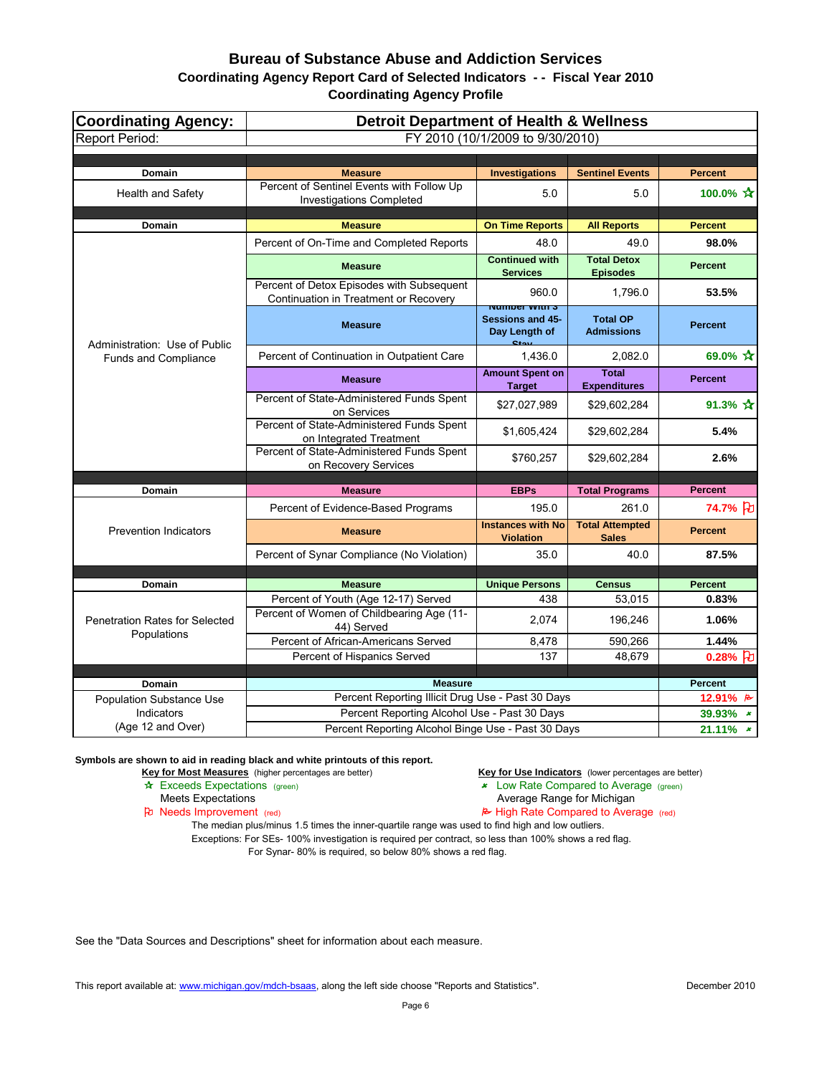| <b>Coordinating Agency:</b>           | <b>Detroit Department of Health &amp; Wellness</b>                                                 |                                                                                      |                                        |                           |  |  |  |
|---------------------------------------|----------------------------------------------------------------------------------------------------|--------------------------------------------------------------------------------------|----------------------------------------|---------------------------|--|--|--|
| <b>Report Period:</b>                 |                                                                                                    | FY 2010 (10/1/2009 to 9/30/2010)                                                     |                                        |                           |  |  |  |
|                                       |                                                                                                    |                                                                                      |                                        |                           |  |  |  |
| Domain                                | <b>Measure</b>                                                                                     | <b>Investigations</b>                                                                | <b>Sentinel Events</b>                 | <b>Percent</b>            |  |  |  |
| <b>Health and Safety</b>              | Percent of Sentinel Events with Follow Up<br><b>Investigations Completed</b>                       | 5.0                                                                                  | 5.0                                    | 100.0% $\mathbf{\hat{x}}$ |  |  |  |
| <b>Domain</b>                         | <b>Measure</b>                                                                                     | <b>On Time Reports</b>                                                               | <b>All Reports</b>                     | <b>Percent</b>            |  |  |  |
|                                       | Percent of On-Time and Completed Reports                                                           | 48.0                                                                                 | 49.0                                   | 98.0%                     |  |  |  |
|                                       | <b>Measure</b>                                                                                     | <b>Continued with</b><br><b>Services</b>                                             | <b>Total Detox</b><br><b>Episodes</b>  | <b>Percent</b>            |  |  |  |
|                                       | Percent of Detox Episodes with Subsequent<br>Continuation in Treatment or Recovery                 | 960.0                                                                                | 1,796.0                                | 53.5%                     |  |  |  |
| Administration: Use of Public         | <b>Measure</b>                                                                                     | <u>Number With S</u><br><b>Sessions and 45-</b><br>Day Length of<br>C <sub>tan</sub> | <b>Total OP</b><br><b>Admissions</b>   | <b>Percent</b>            |  |  |  |
| <b>Funds and Compliance</b>           | Percent of Continuation in Outpatient Care                                                         | 1,436.0                                                                              | 2,082.0                                | 69.0% $\star$             |  |  |  |
|                                       | <b>Measure</b>                                                                                     | <b>Amount Spent on</b><br><b>Target</b>                                              | <b>Total</b><br><b>Expenditures</b>    | <b>Percent</b>            |  |  |  |
|                                       | Percent of State-Administered Funds Spent<br>on Services                                           | \$27,027,989                                                                         | \$29,602,284                           | 91.3% $\cancel{\pi}$      |  |  |  |
|                                       | Percent of State-Administered Funds Spent<br>on Integrated Treatment                               | \$1,605,424                                                                          | \$29,602,284                           | 5.4%                      |  |  |  |
|                                       | Percent of State-Administered Funds Spent<br>on Recovery Services                                  | \$760,257                                                                            | \$29,602,284                           | 2.6%                      |  |  |  |
| <b>Domain</b>                         | <b>Measure</b>                                                                                     | <b>EBPs</b>                                                                          | <b>Total Programs</b>                  | <b>Percent</b>            |  |  |  |
|                                       |                                                                                                    |                                                                                      |                                        |                           |  |  |  |
|                                       | Percent of Evidence-Based Programs                                                                 | 195.0                                                                                | 261.0                                  | 74.7% 刊                   |  |  |  |
| <b>Prevention Indicators</b>          | <b>Measure</b>                                                                                     | <b>Instances with No</b><br><b>Violation</b>                                         | <b>Total Attempted</b><br><b>Sales</b> | <b>Percent</b>            |  |  |  |
|                                       | Percent of Synar Compliance (No Violation)                                                         | 35.0                                                                                 | 40.0                                   | 87.5%                     |  |  |  |
|                                       |                                                                                                    |                                                                                      |                                        |                           |  |  |  |
| <b>Domain</b>                         | <b>Measure</b>                                                                                     | <b>Unique Persons</b>                                                                | <b>Census</b>                          | <b>Percent</b>            |  |  |  |
| <b>Penetration Rates for Selected</b> | Percent of Youth (Age 12-17) Served<br>Percent of Women of Childbearing Age (11-<br>44) Served     | 438<br>2,074                                                                         | 53,015<br>196,246                      | 0.83%<br>1.06%            |  |  |  |
| Populations                           | Percent of African-Americans Served                                                                | 8,478                                                                                | 590,266                                | 1.44%                     |  |  |  |
|                                       | Percent of Hispanics Served                                                                        | 137                                                                                  | 48,679                                 | $0.28%$ 七                 |  |  |  |
|                                       |                                                                                                    |                                                                                      |                                        |                           |  |  |  |
| Domain                                | <b>Measure</b>                                                                                     |                                                                                      |                                        | <b>Percent</b>            |  |  |  |
| <b>Population Substance Use</b>       | Percent Reporting Illicit Drug Use - Past 30 Days                                                  |                                                                                      |                                        | 12.91% B                  |  |  |  |
| Indicators<br>(Age 12 and Over)       | Percent Reporting Alcohol Use - Past 30 Days<br>Percent Reporting Alcohol Binge Use - Past 30 Days |                                                                                      |                                        | 39.93% *<br>$21.11\%$ *   |  |  |  |
|                                       |                                                                                                    |                                                                                      |                                        |                           |  |  |  |

**Symbols are shown to aid in reading black and white printouts of this report.**

Key for Most Measures (higher percentages are better) **Key for Use Indicators** (lower percentages are better)

- \* Exceeds Expectations (green) 22 Cow Rate Compared to Average (green)
	-
- Meets Expectations<br> **Average Range for Michigan**<br> **Average Range for Michigan**<br> **Average Range for Michigan**<br> **Average Range for Michigan**<br> **Average Range for Michigan**  $\approx$  High Rate Compared to Average (red)

The median plus/minus 1.5 times the inner-quartile range was used to find high and low outliers. Exceptions: For SEs- 100% investigation is required per contract, so less than 100% shows a red flag. For Synar- 80% is required, so below 80% shows a red flag.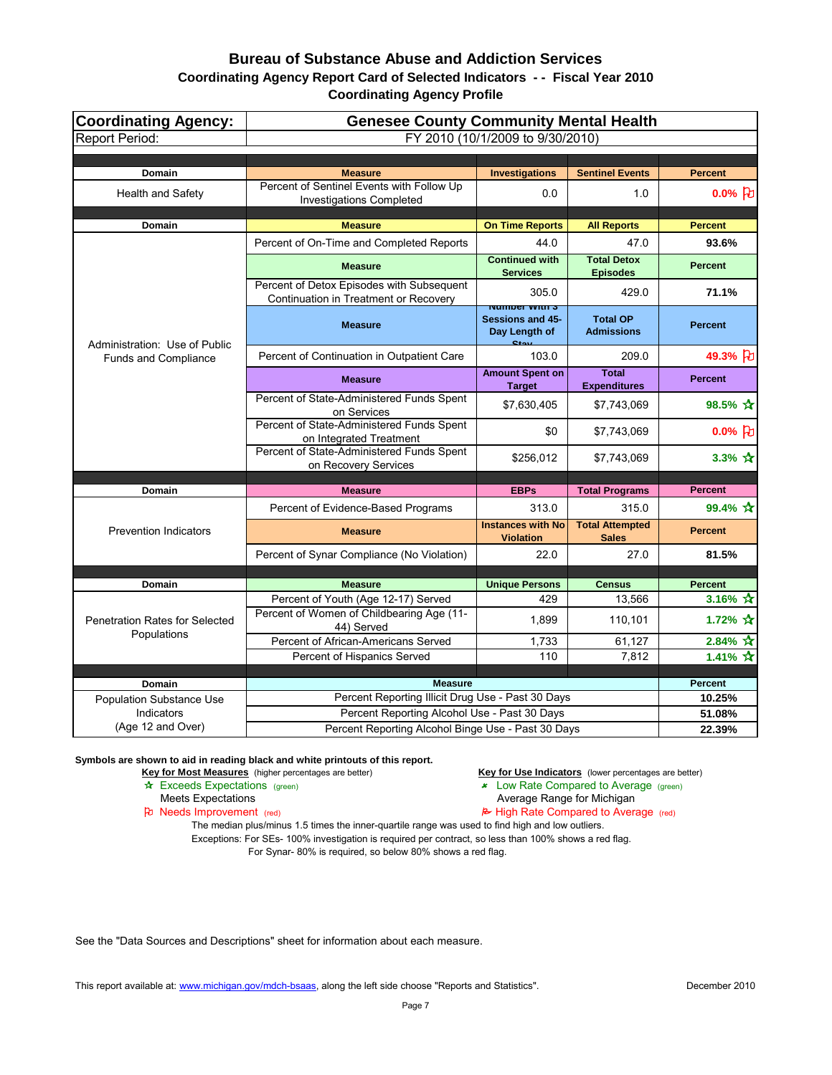#### **Bureau of Substance Abuse and Addiction Services Coordinating Agency Report Card of Selected Indicators - - Fiscal Year 2010**

**Coordinating Agency Profile**

| <b>Coordinating Agency:</b>           | <b>Genesee County Community Mental Health</b>                                      |                                                             |                                        |                                                  |  |  |  |
|---------------------------------------|------------------------------------------------------------------------------------|-------------------------------------------------------------|----------------------------------------|--------------------------------------------------|--|--|--|
| <b>Report Period:</b>                 | FY 2010 (10/1/2009 to 9/30/2010)                                                   |                                                             |                                        |                                                  |  |  |  |
|                                       |                                                                                    |                                                             |                                        |                                                  |  |  |  |
| Domain                                | <b>Measure</b>                                                                     | <b>Investigations</b>                                       | <b>Sentinel Events</b>                 | <b>Percent</b>                                   |  |  |  |
| <b>Health and Safety</b>              | Percent of Sentinel Events with Follow Up<br><b>Investigations Completed</b>       | 0.0                                                         | 1.0                                    | $0.0%$ [D]                                       |  |  |  |
| Domain                                | <b>Measure</b>                                                                     | <b>On Time Reports</b>                                      | <b>All Reports</b>                     | <b>Percent</b>                                   |  |  |  |
|                                       | Percent of On-Time and Completed Reports                                           | 44.0                                                        | 47.0                                   | 93.6%                                            |  |  |  |
|                                       | <b>Measure</b>                                                                     | <b>Continued with</b><br><b>Services</b>                    | <b>Total Detox</b><br><b>Episodes</b>  | <b>Percent</b>                                   |  |  |  |
|                                       | Percent of Detox Episodes with Subsequent<br>Continuation in Treatment or Recovery | 305.0<br><u>Number With S</u>                               | 429.0                                  | 71.1%                                            |  |  |  |
| Administration: Use of Public         | <b>Measure</b>                                                                     | <b>Sessions and 45-</b><br>Day Length of<br>C1 <sub>0</sub> | <b>Total OP</b><br><b>Admissions</b>   | <b>Percent</b>                                   |  |  |  |
| Funds and Compliance                  | Percent of Continuation in Outpatient Care                                         | 103.0                                                       | 209.0                                  | 49.3% 凡                                          |  |  |  |
|                                       | <b>Measure</b>                                                                     | <b>Amount Spent on</b><br><b>Target</b>                     | <b>Total</b><br><b>Expenditures</b>    | <b>Percent</b>                                   |  |  |  |
|                                       | Percent of State-Administered Funds Spent<br>on Services                           | \$7,630,405                                                 | \$7,743,069                            | 98.5% ☆                                          |  |  |  |
|                                       | Percent of State-Administered Funds Spent<br>on Integrated Treatment               | \$0                                                         | \$7,743,069                            | $0.0\%$ [2]                                      |  |  |  |
|                                       | Percent of State-Administered Funds Spent<br>on Recovery Services                  | \$256,012                                                   | \$7,743,069                            | 3.3% $\cancel{\pi}$                              |  |  |  |
| Domain                                | <b>Measure</b>                                                                     | <b>EBPs</b>                                                 | <b>Total Programs</b>                  | <b>Percent</b>                                   |  |  |  |
|                                       | Percent of Evidence-Based Programs                                                 | 313.0                                                       | 315.0                                  | 99.4% ☆                                          |  |  |  |
| <b>Prevention Indicators</b>          | <b>Measure</b>                                                                     | <b>Instances with No</b><br><b>Violation</b>                | <b>Total Attempted</b><br><b>Sales</b> | <b>Percent</b>                                   |  |  |  |
|                                       | Percent of Synar Compliance (No Violation)                                         | 22.0                                                        | 27.0                                   | 81.5%                                            |  |  |  |
|                                       |                                                                                    |                                                             |                                        |                                                  |  |  |  |
| Domain                                | <b>Measure</b>                                                                     | <b>Unique Persons</b>                                       | <b>Census</b>                          | <b>Percent</b>                                   |  |  |  |
| <b>Penetration Rates for Selected</b> | Percent of Youth (Age 12-17) Served<br>Percent of Women of Childbearing Age (11-   | 429<br>1,899                                                | 13,566<br>110,101                      | 3.16% $\overline{x}$<br>1.72% $\mathbf{\hat{x}}$ |  |  |  |
| Populations                           | 44) Served                                                                         |                                                             |                                        |                                                  |  |  |  |
|                                       | Percent of African-Americans Served<br>Percent of Hispanics Served                 | 1,733<br>110                                                | 61,127<br>7,812                        | $2.84\% \; \star$<br>1.41% $\mathbf{\hat{x}}$    |  |  |  |
|                                       |                                                                                    |                                                             |                                        |                                                  |  |  |  |
| Domain                                | <b>Measure</b>                                                                     |                                                             |                                        | <b>Percent</b>                                   |  |  |  |
| <b>Population Substance Use</b>       | Percent Reporting Illicit Drug Use - Past 30 Days                                  |                                                             |                                        | 10.25%                                           |  |  |  |
| Indicators                            | Percent Reporting Alcohol Use - Past 30 Days                                       |                                                             |                                        | 51.08%                                           |  |  |  |
| (Age 12 and Over)                     | Percent Reporting Alcohol Binge Use - Past 30 Days                                 | 22.39%                                                      |                                        |                                                  |  |  |  |

**Symbols are shown to aid in reading black and white printouts of this report.**

**Key for Most Measures** (higher percentages are better) **Key for Use Indicators** (lower percentages are better) **A**<br>**Exceeds Expectations** (green) **A** Exceeds Expectations (green)

- $\star$  Low Rate Compared to Average (green)
	-

Meets Expectations<br> **Average Range for Michigan**<br> **Average Range for Michigan**<br> **Average Range for Michigan**<br> **Average Range for Michigan**<br> **Average Range for Michigan**  $\approx$  High Rate Compared to Average (red)

The median plus/minus 1.5 times the inner-quartile range was used to find high and low outliers. Exceptions: For SEs- 100% investigation is required per contract, so less than 100% shows a red flag. For Synar- 80% is required, so below 80% shows a red flag.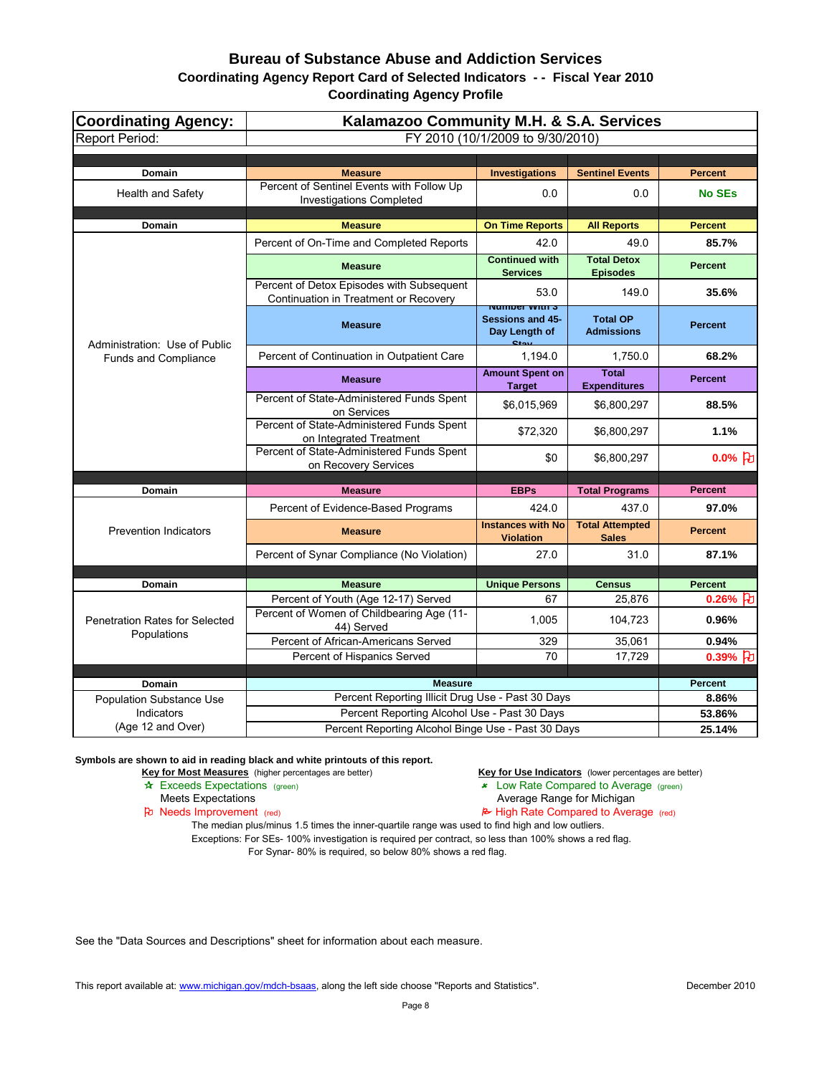## **Bureau of Substance Abuse and Addiction Services Coordinating Agency Report Card of Selected Indicators - - Fiscal Year 2010**

| <b>Coordinating Agency Profile</b> |  |  |
|------------------------------------|--|--|
|------------------------------------|--|--|

| <b>Coordinating Agency:</b>           | Kalamazoo Community M.H. & S.A. Services                                           |                                                                                     |                                        |                    |  |  |  |
|---------------------------------------|------------------------------------------------------------------------------------|-------------------------------------------------------------------------------------|----------------------------------------|--------------------|--|--|--|
| <b>Report Period:</b>                 | FY 2010 (10/1/2009 to 9/30/2010)                                                   |                                                                                     |                                        |                    |  |  |  |
|                                       |                                                                                    |                                                                                     |                                        |                    |  |  |  |
| Domain                                | <b>Measure</b>                                                                     | <b>Investigations</b>                                                               | <b>Sentinel Events</b>                 | <b>Percent</b>     |  |  |  |
| <b>Health and Safety</b>              | Percent of Sentinel Events with Follow Up<br><b>Investigations Completed</b>       | 0.0                                                                                 | 0.0                                    | <b>No SEs</b>      |  |  |  |
| Domain                                | <b>Measure</b>                                                                     | <b>On Time Reports</b>                                                              | <b>All Reports</b>                     | <b>Percent</b>     |  |  |  |
|                                       | Percent of On-Time and Completed Reports                                           | 42.0                                                                                | 49.0                                   | 85.7%              |  |  |  |
|                                       | <b>Measure</b>                                                                     | <b>Continued with</b><br><b>Services</b>                                            | <b>Total Detox</b><br><b>Episodes</b>  | <b>Percent</b>     |  |  |  |
|                                       | Percent of Detox Episodes with Subsequent<br>Continuation in Treatment or Recovery | 53.0                                                                                | 149.0                                  | 35.6%              |  |  |  |
| Administration: Use of Public         | <b>Measure</b>                                                                     | <u>inumber with 5</u><br><b>Sessions and 45-</b><br>Day Length of<br>C <sub>4</sub> | <b>Total OP</b><br><b>Admissions</b>   | <b>Percent</b>     |  |  |  |
| <b>Funds and Compliance</b>           | Percent of Continuation in Outpatient Care                                         | 1,194.0                                                                             | 1,750.0                                | 68.2%              |  |  |  |
|                                       | <b>Measure</b>                                                                     | <b>Amount Spent on</b><br><b>Target</b>                                             | <b>Total</b><br><b>Expenditures</b>    | <b>Percent</b>     |  |  |  |
|                                       | Percent of State-Administered Funds Spent<br>on Services                           | \$6,015,969                                                                         | \$6,800,297                            | 88.5%              |  |  |  |
|                                       | Percent of State-Administered Funds Spent<br>on Integrated Treatment               | \$72,320                                                                            | \$6,800,297                            | 1.1%               |  |  |  |
|                                       | Percent of State-Administered Funds Spent<br>on Recovery Services                  | \$0                                                                                 | \$6,800,297                            | $0.0\%$ [わ         |  |  |  |
| <b>Domain</b>                         | <b>Measure</b>                                                                     | <b>EBPs</b>                                                                         | <b>Total Programs</b>                  | <b>Percent</b>     |  |  |  |
|                                       | Percent of Evidence-Based Programs                                                 | 424.0                                                                               | 437.0                                  | 97.0%              |  |  |  |
| <b>Prevention Indicators</b>          | <b>Measure</b>                                                                     | <b>Instances with No</b><br><b>Violation</b>                                        | <b>Total Attempted</b><br><b>Sales</b> | <b>Percent</b>     |  |  |  |
|                                       | Percent of Synar Compliance (No Violation)                                         | 27.0                                                                                | 31.0                                   | 87.1%              |  |  |  |
|                                       |                                                                                    |                                                                                     |                                        |                    |  |  |  |
| Domain                                | <b>Measure</b>                                                                     | <b>Unique Persons</b>                                                               | <b>Census</b>                          | <b>Percent</b>     |  |  |  |
| <b>Penetration Rates for Selected</b> | Percent of Youth (Age 12-17) Served<br>Percent of Women of Childbearing Age (11-   | 67<br>1,005                                                                         | 25,876<br>104,723                      | $0.26%$ J<br>0.96% |  |  |  |
| Populations                           | 44) Served<br>Percent of African-Americans Served                                  | 329                                                                                 | 35,061                                 | 0.94%              |  |  |  |
|                                       | Percent of Hispanics Served                                                        | 70                                                                                  | 17,729                                 | $0.39%$ FU         |  |  |  |
|                                       |                                                                                    |                                                                                     |                                        |                    |  |  |  |
| <b>Domain</b>                         | <b>Measure</b>                                                                     |                                                                                     |                                        | <b>Percent</b>     |  |  |  |
| <b>Population Substance Use</b>       | Percent Reporting Illicit Drug Use - Past 30 Days                                  |                                                                                     |                                        | 8.86%              |  |  |  |
| Indicators<br>(Age 12 and Over)       | Percent Reporting Alcohol Use - Past 30 Days                                       |                                                                                     |                                        | 53.86%             |  |  |  |
|                                       | Percent Reporting Alcohol Binge Use - Past 30 Days                                 |                                                                                     |                                        | 25.14%             |  |  |  |

**Symbols are shown to aid in reading black and white printouts of this report.**

Key for Most Measures (higher percentages are better) **Key for Use Indicators** (lower percentages are better)

- \* Exceeds Expectations (green) 22 Cow Rate Compared to Average (green)
	-
- Meets Expectations<br> **Average Range for Michigan**<br> **Average Range for Michigan**<br> **Average Range for Michigan**<br> **Average Range for Michigan**<br> **Average Range for Michigan**  $\approx$  High Rate Compared to Average (red)

The median plus/minus 1.5 times the inner-quartile range was used to find high and low outliers. Exceptions: For SEs- 100% investigation is required per contract, so less than 100% shows a red flag. For Synar- 80% is required, so below 80% shows a red flag.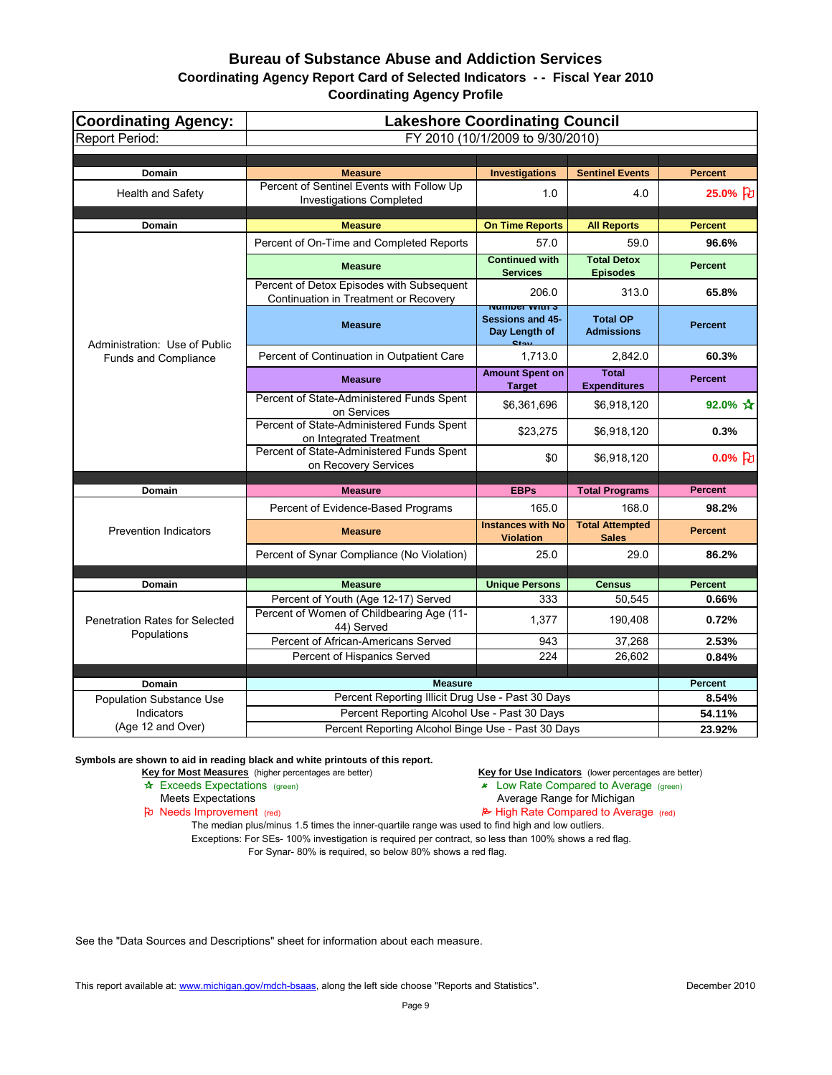| <b>Coordinating Agency:</b>           | <b>Lakeshore Coordinating Council</b>                                                              |                                                              |                                        |                |  |  |  |
|---------------------------------------|----------------------------------------------------------------------------------------------------|--------------------------------------------------------------|----------------------------------------|----------------|--|--|--|
| <b>Report Period:</b>                 |                                                                                                    | FY 2010 (10/1/2009 to 9/30/2010)                             |                                        |                |  |  |  |
|                                       |                                                                                                    |                                                              |                                        |                |  |  |  |
| <b>Domain</b>                         | <b>Measure</b>                                                                                     | <b>Investigations</b>                                        | <b>Sentinel Events</b>                 | <b>Percent</b> |  |  |  |
| <b>Health and Safety</b>              | Percent of Sentinel Events with Follow Up<br><b>Investigations Completed</b>                       | 1.0                                                          | 4.0                                    | 25.0% }        |  |  |  |
| Domain                                | <b>Measure</b>                                                                                     | <b>On Time Reports</b>                                       | <b>All Reports</b>                     | <b>Percent</b> |  |  |  |
|                                       | Percent of On-Time and Completed Reports                                                           | 57.0                                                         | 59.0                                   | 96.6%          |  |  |  |
|                                       | <b>Measure</b>                                                                                     | <b>Continued with</b><br><b>Services</b>                     | <b>Total Detox</b><br><b>Episodes</b>  | <b>Percent</b> |  |  |  |
|                                       | Percent of Detox Episodes with Subsequent<br>Continuation in Treatment or Recovery                 | 206.0<br><u>Number With S</u>                                | 313.0                                  | 65.8%          |  |  |  |
| Administration: Use of Public         | <b>Measure</b>                                                                                     | <b>Sessions and 45-</b><br>Day Length of<br>C <sub>tan</sub> | <b>Total OP</b><br><b>Admissions</b>   | <b>Percent</b> |  |  |  |
| <b>Funds and Compliance</b>           | Percent of Continuation in Outpatient Care                                                         | 1,713.0                                                      | 2,842.0                                | 60.3%          |  |  |  |
|                                       | <b>Measure</b>                                                                                     | <b>Amount Spent on</b><br><b>Target</b>                      | <b>Total</b><br><b>Expenditures</b>    | <b>Percent</b> |  |  |  |
|                                       | Percent of State-Administered Funds Spent<br>on Services                                           | \$6,361,696                                                  | \$6,918,120                            | 92.0% $\star$  |  |  |  |
|                                       | Percent of State-Administered Funds Spent<br>on Integrated Treatment                               | \$23,275                                                     | \$6,918,120                            | 0.3%           |  |  |  |
|                                       | Percent of State-Administered Funds Spent<br>on Recovery Services                                  | \$0                                                          | \$6,918,120                            | $0.0\%$ [七]    |  |  |  |
|                                       |                                                                                                    |                                                              |                                        |                |  |  |  |
| Domain                                | <b>Measure</b>                                                                                     | <b>EBPs</b>                                                  | <b>Total Programs</b>                  | <b>Percent</b> |  |  |  |
|                                       | Percent of Evidence-Based Programs                                                                 | 165.0                                                        | 168.0                                  | 98.2%          |  |  |  |
| <b>Prevention Indicators</b>          | <b>Measure</b>                                                                                     | <b>Instances with No</b><br><b>Violation</b>                 | <b>Total Attempted</b><br><b>Sales</b> | <b>Percent</b> |  |  |  |
|                                       | Percent of Synar Compliance (No Violation)                                                         | 25.0                                                         | 29.0                                   | 86.2%          |  |  |  |
|                                       |                                                                                                    |                                                              |                                        |                |  |  |  |
| Domain                                | <b>Measure</b>                                                                                     | <b>Unique Persons</b>                                        | <b>Census</b>                          | <b>Percent</b> |  |  |  |
| <b>Penetration Rates for Selected</b> | Percent of Youth (Age 12-17) Served<br>Percent of Women of Childbearing Age (11-<br>44) Served     | 333<br>1,377                                                 | 50,545<br>190,408                      | 0.66%<br>0.72% |  |  |  |
| Populations                           | Percent of African-Americans Served                                                                | 943                                                          | 37,268                                 | 2.53%          |  |  |  |
|                                       | Percent of Hispanics Served                                                                        | 224                                                          | 26,602                                 | 0.84%          |  |  |  |
|                                       |                                                                                                    |                                                              |                                        |                |  |  |  |
| Domain                                | <b>Measure</b>                                                                                     |                                                              |                                        | <b>Percent</b> |  |  |  |
| <b>Population Substance Use</b>       | Percent Reporting Illicit Drug Use - Past 30 Days                                                  |                                                              |                                        | 8.54%          |  |  |  |
| Indicators<br>(Age 12 and Over)       | Percent Reporting Alcohol Use - Past 30 Days<br>Percent Reporting Alcohol Binge Use - Past 30 Days |                                                              |                                        | 54.11%         |  |  |  |
|                                       |                                                                                                    | 23.92%                                                       |                                        |                |  |  |  |

**Symbols are shown to aid in reading black and white printouts of this report.**

**Key for Most Measures** (higher percentages are better) **Key for Use Indicators** (lower percentages are better) **A**<br>**Exceeds Expectations** (green) **A** Exceeds Expectations (green)

- $\overline{\smash{\star}}$  Low Rate Compared to Average (green)
	-

Meets Expectations<br> **Average Range for Michigan**<br> **Average Range for Michigan**<br> **Average Range for Michigan**<br> **Average Range for Michigan**<br> **Average Range for Michigan**  $\approx$  High Rate Compared to Average (red)

The median plus/minus 1.5 times the inner-quartile range was used to find high and low outliers. Exceptions: For SEs- 100% investigation is required per contract, so less than 100% shows a red flag. For Synar- 80% is required, so below 80% shows a red flag.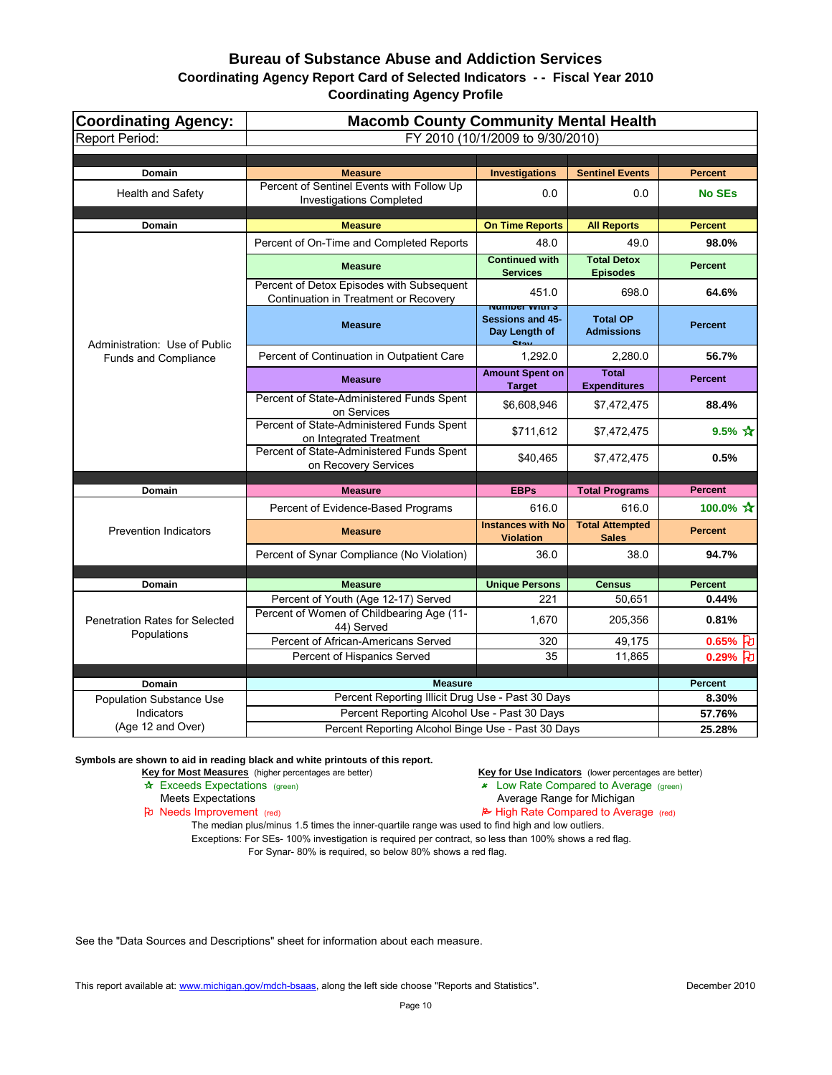| <b>Coordinating Agency:</b>                   | <b>Macomb County Community Mental Health</b>                                       |                                                               |                                        |                     |  |  |  |
|-----------------------------------------------|------------------------------------------------------------------------------------|---------------------------------------------------------------|----------------------------------------|---------------------|--|--|--|
| <b>Report Period:</b>                         | FY 2010 (10/1/2009 to 9/30/2010)                                                   |                                                               |                                        |                     |  |  |  |
|                                               |                                                                                    |                                                               |                                        |                     |  |  |  |
| Domain                                        | <b>Measure</b>                                                                     | <b>Investigations</b>                                         | <b>Sentinel Events</b>                 | <b>Percent</b>      |  |  |  |
| <b>Health and Safety</b>                      | Percent of Sentinel Events with Follow Up<br><b>Investigations Completed</b>       | 0.0                                                           | 0.0                                    | <b>No SEs</b>       |  |  |  |
| <b>Domain</b>                                 | <b>Measure</b>                                                                     | <b>On Time Reports</b>                                        | <b>All Reports</b>                     | <b>Percent</b>      |  |  |  |
|                                               | Percent of On-Time and Completed Reports                                           | 48.0                                                          | 49.0                                   | 98.0%               |  |  |  |
|                                               | <b>Measure</b>                                                                     | <b>Continued with</b><br><b>Services</b>                      | <b>Total Detox</b><br><b>Episodes</b>  | <b>Percent</b>      |  |  |  |
|                                               | Percent of Detox Episodes with Subsequent<br>Continuation in Treatment or Recovery | 451.0<br><b>NUMBER WILLE</b>                                  | 698.0                                  | 64.6%               |  |  |  |
| Administration: Use of Public                 | <b>Measure</b>                                                                     | <b>Sessions and 45-</b><br>Day Length of<br>$C_{\text{full}}$ | <b>Total OP</b><br><b>Admissions</b>   | <b>Percent</b>      |  |  |  |
| <b>Funds and Compliance</b>                   | Percent of Continuation in Outpatient Care                                         | 1,292.0                                                       | 2,280.0                                | 56.7%               |  |  |  |
|                                               | <b>Measure</b>                                                                     | <b>Amount Spent on</b><br><b>Target</b>                       | <b>Total</b><br><b>Expenditures</b>    | <b>Percent</b>      |  |  |  |
|                                               | Percent of State-Administered Funds Spent<br>on Services                           | \$6,608,946                                                   | \$7,472,475                            | 88.4%               |  |  |  |
|                                               | Percent of State-Administered Funds Spent<br>on Integrated Treatment               | \$711,612                                                     | \$7,472,475                            | 9.5% $\bm{\hat{x}}$ |  |  |  |
|                                               | Percent of State-Administered Funds Spent<br>on Recovery Services                  | \$40,465                                                      | \$7,472,475                            | 0.5%                |  |  |  |
| <b>Domain</b>                                 | <b>Measure</b>                                                                     | <b>EBPs</b>                                                   | <b>Total Programs</b>                  | <b>Percent</b>      |  |  |  |
|                                               |                                                                                    |                                                               |                                        | 100.0% ☆            |  |  |  |
|                                               | Percent of Evidence-Based Programs                                                 | 616.0                                                         | 616.0                                  |                     |  |  |  |
| <b>Prevention Indicators</b>                  | <b>Measure</b>                                                                     | <b>Instances with No</b><br><b>Violation</b>                  | <b>Total Attempted</b><br><b>Sales</b> | <b>Percent</b>      |  |  |  |
|                                               | Percent of Synar Compliance (No Violation)                                         | 36.0                                                          | 38.0                                   | 94.7%               |  |  |  |
| Domain                                        | <b>Measure</b>                                                                     | <b>Unique Persons</b>                                         | <b>Census</b>                          | <b>Percent</b>      |  |  |  |
|                                               | Percent of Youth (Age 12-17) Served                                                | 221                                                           | 50,651                                 | 0.44%               |  |  |  |
| <b>Penetration Rates for Selected</b>         | Percent of Women of Childbearing Age (11-<br>44) Served                            | 1,670                                                         | 205,356                                | 0.81%               |  |  |  |
| Populations                                   | Percent of African-Americans Served                                                | 320                                                           | 49,175                                 | $0.65%$ U           |  |  |  |
|                                               | Percent of Hispanics Served                                                        | 35                                                            | 11,865                                 | $0.29%$ 七           |  |  |  |
|                                               |                                                                                    |                                                               |                                        |                     |  |  |  |
| <b>Domain</b>                                 | <b>Measure</b><br>Percent Reporting Illicit Drug Use - Past 30 Days                |                                                               |                                        | Percent<br>8.30%    |  |  |  |
| <b>Population Substance Use</b><br>Indicators | Percent Reporting Alcohol Use - Past 30 Days                                       |                                                               |                                        | 57.76%              |  |  |  |
| (Age 12 and Over)                             | Percent Reporting Alcohol Binge Use - Past 30 Days                                 |                                                               |                                        | 25.28%              |  |  |  |

**Symbols are shown to aid in reading black and white printouts of this report.**

Key for Most Measures (higher percentages are better) **Key for Use Indicators** (lower percentages are better)

- \* Exceeds Expectations (green) 22 Cow Rate Compared to Average (green)
	-

Meets Expectations<br> **Average Range for Michigan**<br> **Average Range for Michigan**<br> **Average Range for Michigan**<br> **Average Range for Michigan**<br> **Average Range for Michigan**  $\approx$  High Rate Compared to Average (red)

The median plus/minus 1.5 times the inner-quartile range was used to find high and low outliers. Exceptions: For SEs- 100% investigation is required per contract, so less than 100% shows a red flag. For Synar- 80% is required, so below 80% shows a red flag.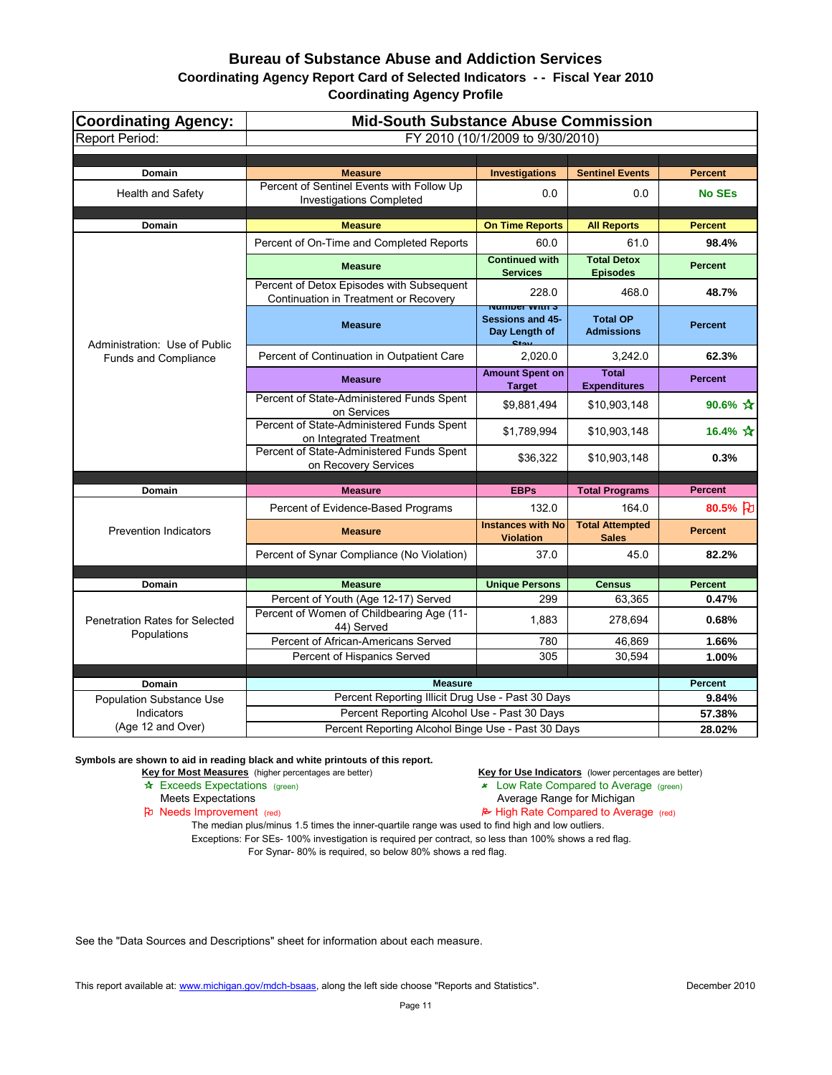| <b>Coordinating Agency:</b>                          | <b>Mid-South Substance Abuse Commission</b>                                        |                                                                                       |                                        |                          |
|------------------------------------------------------|------------------------------------------------------------------------------------|---------------------------------------------------------------------------------------|----------------------------------------|--------------------------|
| <b>Report Period:</b>                                |                                                                                    | FY 2010 (10/1/2009 to 9/30/2010)                                                      |                                        |                          |
|                                                      |                                                                                    |                                                                                       |                                        |                          |
| <b>Domain</b>                                        | <b>Measure</b>                                                                     | <b>Investigations</b>                                                                 | <b>Sentinel Events</b>                 | <b>Percent</b>           |
| <b>Health and Safety</b>                             | Percent of Sentinel Events with Follow Up<br><b>Investigations Completed</b>       | 0.0                                                                                   | 0.0                                    | <b>No SEs</b>            |
| <b>Domain</b>                                        | <b>Measure</b>                                                                     | <b>On Time Reports</b>                                                                | <b>All Reports</b>                     | <b>Percent</b>           |
|                                                      | Percent of On-Time and Completed Reports                                           | 60.0                                                                                  | 61.0                                   | 98.4%                    |
|                                                      | <b>Measure</b>                                                                     | <b>Continued with</b><br><b>Services</b>                                              | <b>Total Detox</b><br><b>Episodes</b>  | <b>Percent</b>           |
|                                                      | Percent of Detox Episodes with Subsequent<br>Continuation in Treatment or Recovery | 228.0                                                                                 | 468.0                                  | 48.7%                    |
| Administration: Use of Public                        | <b>Measure</b>                                                                     | <u>inumber with 5</u><br><b>Sessions and 45-</b><br>Day Length of<br>C <sub>tan</sub> | <b>Total OP</b><br><b>Admissions</b>   | <b>Percent</b>           |
| Funds and Compliance                                 | Percent of Continuation in Outpatient Care                                         | 2,020.0                                                                               | 3,242.0                                | 62.3%                    |
|                                                      | <b>Measure</b>                                                                     | <b>Amount Spent on</b><br><b>Target</b>                                               | <b>Total</b><br><b>Expenditures</b>    | <b>Percent</b>           |
|                                                      | Percent of State-Administered Funds Spent<br>on Services                           | \$9,881,494                                                                           | \$10,903,148                           | 90.6% $\mathbf{\hat{x}}$ |
|                                                      | Percent of State-Administered Funds Spent<br>on Integrated Treatment               | \$1,789,994                                                                           | \$10,903,148                           | 16.4% $\mathbf{\hat{x}}$ |
|                                                      | Percent of State-Administered Funds Spent<br>on Recovery Services                  | \$36,322                                                                              | \$10,903,148                           | 0.3%                     |
| <b>Domain</b>                                        | <b>Measure</b>                                                                     | <b>EBPs</b>                                                                           | <b>Total Programs</b>                  | <b>Percent</b>           |
|                                                      |                                                                                    |                                                                                       |                                        |                          |
| <b>Prevention Indicators</b>                         | Percent of Evidence-Based Programs                                                 | 132.0                                                                                 | 164.0                                  | 80.5% 刊                  |
|                                                      | <b>Measure</b>                                                                     | <b>Instances with No</b><br><b>Violation</b>                                          | <b>Total Attempted</b><br><b>Sales</b> | <b>Percent</b>           |
|                                                      | Percent of Synar Compliance (No Violation)                                         | 37.0                                                                                  | 45.0                                   | 82.2%                    |
|                                                      |                                                                                    |                                                                                       |                                        |                          |
| <b>Domain</b>                                        | <b>Measure</b>                                                                     | <b>Unique Persons</b>                                                                 | <b>Census</b>                          | <b>Percent</b>           |
| <b>Penetration Rates for Selected</b><br>Populations | Percent of Youth (Age 12-17) Served<br>Percent of Women of Childbearing Age (11-   | 299<br>1,883                                                                          | 63,365<br>278,694                      | 0.47%<br>0.68%           |
|                                                      | 44) Served                                                                         |                                                                                       |                                        |                          |
|                                                      | Percent of African-Americans Served                                                | 780                                                                                   | 46,869                                 | 1.66%                    |
|                                                      | Percent of Hispanics Served                                                        | 305                                                                                   | 30,594                                 | 1.00%                    |
| <b>Domain</b>                                        | <b>Measure</b>                                                                     |                                                                                       |                                        | <b>Percent</b>           |
| <b>Population Substance Use</b>                      | Percent Reporting Illicit Drug Use - Past 30 Days                                  |                                                                                       |                                        | 9.84%                    |
| Indicators                                           | Percent Reporting Alcohol Use - Past 30 Days                                       |                                                                                       |                                        | 57.38%                   |
| (Age 12 and Over)                                    | Percent Reporting Alcohol Binge Use - Past 30 Days                                 |                                                                                       |                                        | 28.02%                   |

**Symbols are shown to aid in reading black and white printouts of this report.**

Key for Most Measures (higher percentages are better) **Key for Use Indicators** (lower percentages are better)

- \* Exceeds Expectations (green) 22 Cow Rate Compared to Average (green)
	-
- Meets Expectations<br> **Average Range for Michigan**<br> **Average Range for Michigan**<br> **Average Range for Michigan**<br> **Average Range for Michigan**<br> **Average Range for Michigan**  $\approx$  High Rate Compared to Average (red)

The median plus/minus 1.5 times the inner-quartile range was used to find high and low outliers. Exceptions: For SEs- 100% investigation is required per contract, so less than 100% shows a red flag. For Synar- 80% is required, so below 80% shows a red flag.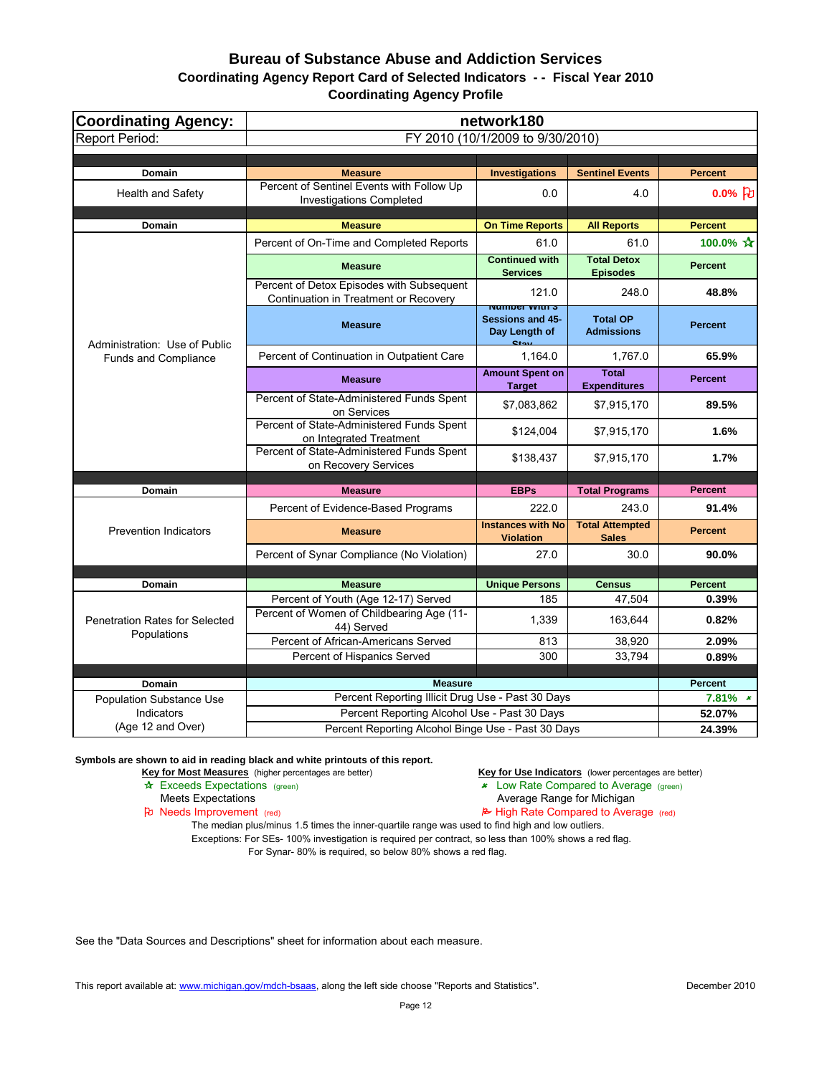| <b>Coordinating Agency:</b>                          | network180                                                                         |                                                                                      |                                        |                           |
|------------------------------------------------------|------------------------------------------------------------------------------------|--------------------------------------------------------------------------------------|----------------------------------------|---------------------------|
| <b>Report Period:</b>                                |                                                                                    | FY 2010 (10/1/2009 to 9/30/2010)                                                     |                                        |                           |
|                                                      |                                                                                    |                                                                                      |                                        |                           |
| Domain                                               | <b>Measure</b>                                                                     | <b>Investigations</b>                                                                | <b>Sentinel Events</b>                 | <b>Percent</b>            |
| <b>Health and Safety</b>                             | Percent of Sentinel Events with Follow Up<br><b>Investigations Completed</b>       | 0.0                                                                                  | 4.0                                    | $0.0\%$ [D]               |
| <b>Domain</b>                                        | <b>Measure</b>                                                                     | <b>On Time Reports</b>                                                               | <b>All Reports</b>                     | <b>Percent</b>            |
|                                                      | Percent of On-Time and Completed Reports                                           | 61.0                                                                                 | 61.0                                   | 100.0% $\mathbf{\hat{x}}$ |
|                                                      | <b>Measure</b>                                                                     | <b>Continued with</b><br><b>Services</b>                                             | <b>Total Detox</b><br><b>Episodes</b>  | <b>Percent</b>            |
|                                                      | Percent of Detox Episodes with Subsequent<br>Continuation in Treatment or Recovery | 121.0                                                                                | 248.0                                  | 48.8%                     |
| Administration: Use of Public                        | <b>Measure</b>                                                                     | <u>Number With S</u><br><b>Sessions and 45-</b><br>Day Length of<br>C <sub>tan</sub> | <b>Total OP</b><br><b>Admissions</b>   | <b>Percent</b>            |
| <b>Funds and Compliance</b>                          | Percent of Continuation in Outpatient Care                                         | 1,164.0                                                                              | 1,767.0                                | 65.9%                     |
|                                                      | <b>Measure</b>                                                                     | <b>Amount Spent on</b><br><b>Target</b>                                              | <b>Total</b><br><b>Expenditures</b>    | <b>Percent</b>            |
|                                                      | Percent of State-Administered Funds Spent<br>on Services                           | \$7,083,862                                                                          | \$7,915,170                            | 89.5%                     |
|                                                      | Percent of State-Administered Funds Spent<br>on Integrated Treatment               | \$124,004                                                                            | \$7,915,170                            | 1.6%                      |
|                                                      | Percent of State-Administered Funds Spent<br>on Recovery Services                  | \$138,437                                                                            | \$7,915,170                            | 1.7%                      |
| <b>Domain</b>                                        | <b>Measure</b>                                                                     | <b>Percent</b>                                                                       |                                        |                           |
|                                                      |                                                                                    | <b>EBPs</b>                                                                          | <b>Total Programs</b>                  |                           |
| <b>Prevention Indicators</b>                         | Percent of Evidence-Based Programs                                                 | 222.0                                                                                | 243.0                                  | 91.4%                     |
|                                                      | <b>Measure</b>                                                                     | <b>Instances with No</b><br><b>Violation</b>                                         | <b>Total Attempted</b><br><b>Sales</b> | <b>Percent</b>            |
|                                                      | Percent of Synar Compliance (No Violation)                                         | 27.0                                                                                 | 30.0                                   | 90.0%                     |
|                                                      |                                                                                    |                                                                                      |                                        |                           |
| <b>Domain</b>                                        | <b>Measure</b>                                                                     | <b>Unique Persons</b>                                                                | <b>Census</b>                          | <b>Percent</b>            |
| <b>Penetration Rates for Selected</b><br>Populations | Percent of Youth (Age 12-17) Served<br>Percent of Women of Childbearing Age (11-   | 185<br>1,339                                                                         | 47,504<br>163,644                      | $0.39\%$<br>0.82%         |
|                                                      | 44) Served<br>Percent of African-Americans Served                                  | 813                                                                                  | 38,920                                 |                           |
|                                                      | Percent of Hispanics Served                                                        | 300                                                                                  | 33,794                                 | 2.09%<br>0.89%            |
|                                                      |                                                                                    |                                                                                      |                                        |                           |
| Domain                                               | <b>Measure</b>                                                                     |                                                                                      |                                        | <b>Percent</b>            |
| <b>Population Substance Use</b>                      | Percent Reporting Illicit Drug Use - Past 30 Days                                  |                                                                                      |                                        | $7.81\%$ *                |
| Indicators                                           | Percent Reporting Alcohol Use - Past 30 Days                                       |                                                                                      |                                        | 52.07%                    |
| (Age 12 and Over)                                    | Percent Reporting Alcohol Binge Use - Past 30 Days                                 |                                                                                      |                                        | 24.39%                    |

**Symbols are shown to aid in reading black and white printouts of this report.**

Key for Most Measures (higher percentages are better) **Key for Use Indicators** (lower percentages are better)

- \* Exceeds Expectations (green) 22 Cow Rate Compared to Average (green)
	-
- Meets Expectations<br> **Average Range for Michigan**<br> **Average Range for Michigan**<br> **Average Range for Michigan**<br> **Average Range for Michigan**<br> **Average Range for Michigan**  $\approx$  High Rate Compared to Average (red)

The median plus/minus 1.5 times the inner-quartile range was used to find high and low outliers. Exceptions: For SEs- 100% investigation is required per contract, so less than 100% shows a red flag. For Synar- 80% is required, so below 80% shows a red flag.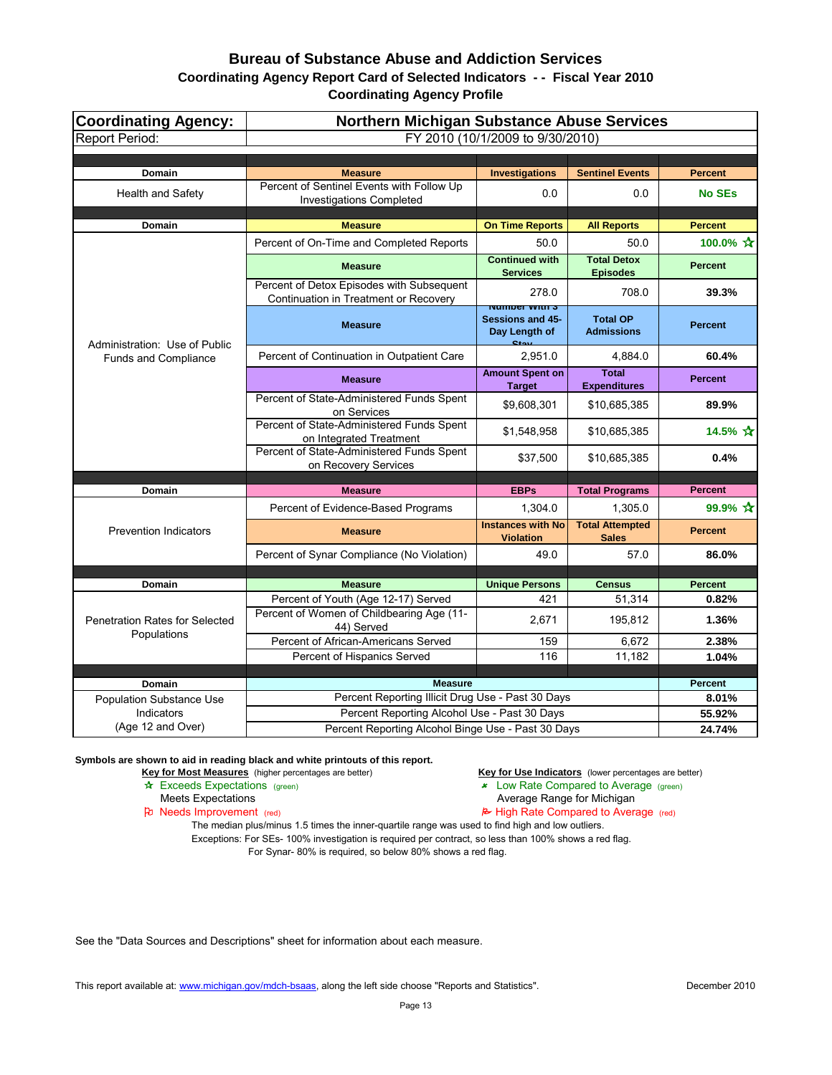| Coordinating Agency:                                 | <b>Northern Michigan Substance Abuse Services</b>                                              |                                                                          |                                        |                                 |
|------------------------------------------------------|------------------------------------------------------------------------------------------------|--------------------------------------------------------------------------|----------------------------------------|---------------------------------|
| Report Period:                                       |                                                                                                | FY 2010 (10/1/2009 to 9/30/2010)                                         |                                        |                                 |
|                                                      |                                                                                                |                                                                          |                                        |                                 |
| <b>Domain</b><br><b>Health and Safety</b>            | <b>Measure</b><br>Percent of Sentinel Events with Follow Up<br><b>Investigations Completed</b> | <b>Investigations</b><br>0.0                                             | <b>Sentinel Events</b><br>0.0          | <b>Percent</b><br><b>No SEs</b> |
| <b>Domain</b>                                        | <b>Measure</b>                                                                                 | <b>On Time Reports</b>                                                   | <b>All Reports</b>                     | <b>Percent</b>                  |
|                                                      | Percent of On-Time and Completed Reports                                                       | 50.0                                                                     | 50.0                                   | 100.0% $\mathbf{\hat{x}}$       |
|                                                      | <b>Measure</b>                                                                                 | <b>Continued with</b><br><b>Services</b>                                 | <b>Total Detox</b><br><b>Episodes</b>  | <b>Percent</b>                  |
|                                                      | Percent of Detox Episodes with Subsequent<br>Continuation in Treatment or Recovery             | 278.0                                                                    | 708.0                                  | 39.3%                           |
| Administration: Use of Public                        | <b>Measure</b>                                                                                 | <u>Number With S</u><br><b>Sessions and 45-</b><br>Day Length of<br>O(1) | <b>Total OP</b><br><b>Admissions</b>   | <b>Percent</b>                  |
| Funds and Compliance                                 | Percent of Continuation in Outpatient Care                                                     | 2,951.0                                                                  | 4,884.0                                | 60.4%                           |
|                                                      | <b>Measure</b>                                                                                 | <b>Amount Spent on</b><br><b>Target</b>                                  | <b>Total</b><br><b>Expenditures</b>    | <b>Percent</b>                  |
|                                                      | Percent of State-Administered Funds Spent<br>on Services                                       | \$9,608,301                                                              | \$10,685,385                           | 89.9%                           |
|                                                      | Percent of State-Administered Funds Spent<br>on Integrated Treatment                           | \$1,548,958                                                              | \$10,685,385                           | 14.5% $\mathbf{\hat{x}}$        |
|                                                      | Percent of State-Administered Funds Spent<br>on Recovery Services                              | \$37,500                                                                 | \$10,685,385                           | 0.4%                            |
| <b>Domain</b>                                        | <b>Measure</b>                                                                                 | <b>EBPs</b>                                                              | <b>Total Programs</b>                  | <b>Percent</b>                  |
|                                                      | Percent of Evidence-Based Programs                                                             | 1,304.0                                                                  | 1,305.0                                | 99.9% ☆                         |
| <b>Prevention Indicators</b>                         | <b>Measure</b>                                                                                 | <b>Instances with No</b><br><b>Violation</b>                             | <b>Total Attempted</b><br><b>Sales</b> | <b>Percent</b>                  |
|                                                      | Percent of Synar Compliance (No Violation)                                                     | 49.0                                                                     | 57.0                                   | 86.0%                           |
|                                                      |                                                                                                |                                                                          |                                        |                                 |
| <b>Domain</b>                                        | <b>Measure</b>                                                                                 | <b>Unique Persons</b>                                                    | <b>Census</b>                          | <b>Percent</b>                  |
| <b>Penetration Rates for Selected</b><br>Populations | Percent of Youth (Age 12-17) Served<br>Percent of Women of Childbearing Age (11-<br>44) Served | 421<br>2,671                                                             | 51,314<br>195,812                      | 0.82%<br>1.36%                  |
|                                                      | Percent of African-Americans Served                                                            | 159                                                                      | 6,672                                  | 2.38%                           |
|                                                      | Percent of Hispanics Served                                                                    | 116                                                                      | 11,182                                 | 1.04%                           |
|                                                      |                                                                                                |                                                                          |                                        |                                 |
| <b>Domain</b>                                        | <b>Measure</b><br>Percent Reporting Illicit Drug Use - Past 30 Days                            |                                                                          |                                        | <b>Percent</b><br>8.01%         |
| <b>Population Substance Use</b><br>Indicators        | Percent Reporting Alcohol Use - Past 30 Days                                                   |                                                                          |                                        | 55.92%                          |
| (Age 12 and Over)                                    | Percent Reporting Alcohol Binge Use - Past 30 Days                                             |                                                                          |                                        | 24.74%                          |

**Symbols are shown to aid in reading black and white printouts of this report.**

Key for Most Measures (higher percentages are better) **Key for Use Indicators** (lower percentages are better)

- \* Exceeds Expectations (green) 22 Cow Rate Compared to Average (green)
	-
- Meets Expectations<br> **Average Range for Michigan**<br> **Average Range for Michigan**<br> **Average Range for Michigan**<br> **Average Range for Michigan**<br> **Average Range for Michigan**  $\approx$  High Rate Compared to Average (red)

The median plus/minus 1.5 times the inner-quartile range was used to find high and low outliers. Exceptions: For SEs- 100% investigation is required per contract, so less than 100% shows a red flag. For Synar- 80% is required, so below 80% shows a red flag.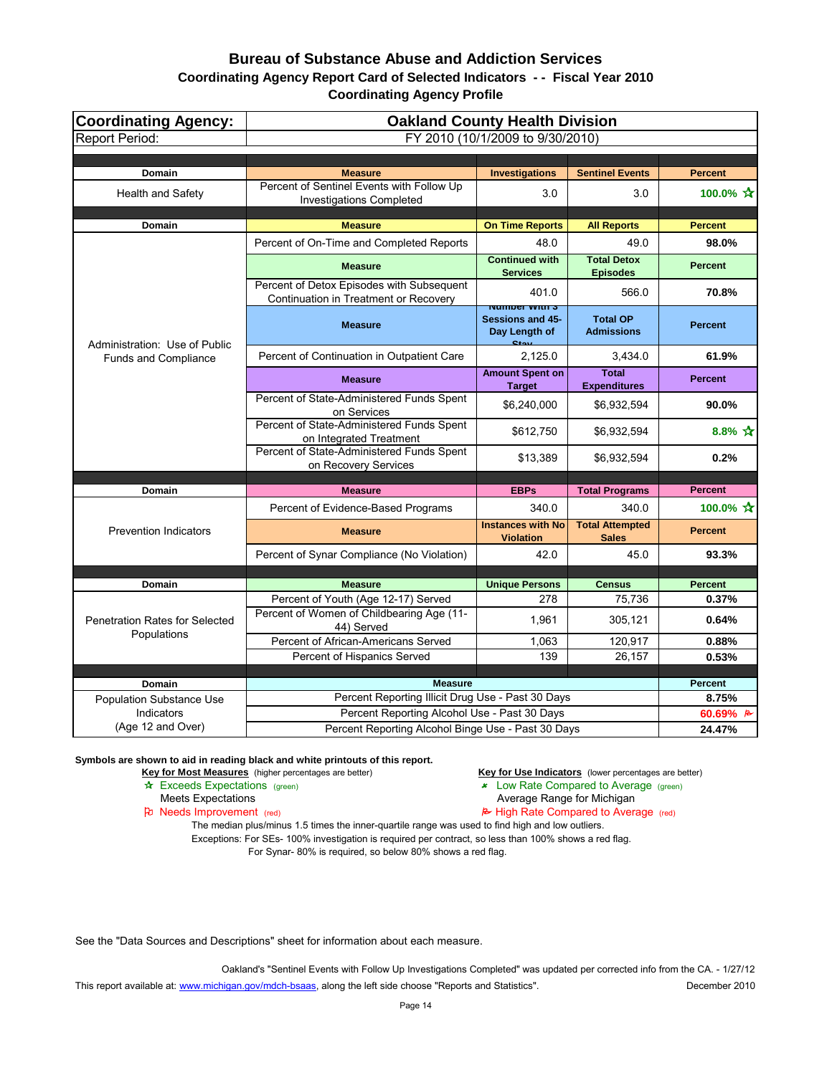| <b>Coordinating Agency:</b>                          | <b>Oakland County Health Division</b>                                              |                                                              |                                        |                           |
|------------------------------------------------------|------------------------------------------------------------------------------------|--------------------------------------------------------------|----------------------------------------|---------------------------|
| <b>Report Period:</b>                                |                                                                                    | FY 2010 (10/1/2009 to 9/30/2010)                             |                                        |                           |
|                                                      |                                                                                    |                                                              |                                        |                           |
| Domain                                               | <b>Measure</b>                                                                     | <b>Investigations</b>                                        | <b>Sentinel Events</b>                 | <b>Percent</b>            |
| <b>Health and Safety</b>                             | Percent of Sentinel Events with Follow Up<br><b>Investigations Completed</b>       | 3.0                                                          | 3.0                                    | 100.0% $\mathbf{\hat{x}}$ |
| <b>Domain</b>                                        | <b>Measure</b>                                                                     | <b>On Time Reports</b>                                       | <b>All Reports</b>                     | <b>Percent</b>            |
|                                                      | Percent of On-Time and Completed Reports                                           | 48.0                                                         | 49.0                                   | 98.0%                     |
|                                                      | <b>Measure</b>                                                                     | <b>Continued with</b><br><b>Services</b>                     | <b>Total Detox</b><br><b>Episodes</b>  | <b>Percent</b>            |
|                                                      | Percent of Detox Episodes with Subsequent<br>Continuation in Treatment or Recovery | 401.0<br><b>NUMBER WILLI</b>                                 | 566.0                                  | 70.8%                     |
| Administration: Use of Public                        | <b>Measure</b>                                                                     | <b>Sessions and 45-</b><br>Day Length of<br>C <sub>tan</sub> | <b>Total OP</b><br><b>Admissions</b>   | <b>Percent</b>            |
| <b>Funds and Compliance</b>                          | Percent of Continuation in Outpatient Care                                         | 2,125.0                                                      | 3,434.0                                | 61.9%                     |
|                                                      | <b>Measure</b>                                                                     | <b>Amount Spent on</b><br><b>Target</b>                      | <b>Total</b><br><b>Expenditures</b>    | <b>Percent</b>            |
|                                                      | Percent of State-Administered Funds Spent<br>on Services                           | \$6,240,000                                                  | \$6,932,594                            | 90.0%                     |
|                                                      | Percent of State-Administered Funds Spent<br>on Integrated Treatment               | \$612,750                                                    | \$6,932,594                            | 8.8% $\mathbf{\hat{x}}$   |
|                                                      | Percent of State-Administered Funds Spent<br>on Recovery Services                  | \$13,389                                                     | \$6,932,594                            | 0.2%                      |
|                                                      |                                                                                    |                                                              |                                        |                           |
| Domain                                               | <b>Measure</b>                                                                     | <b>EBPs</b>                                                  | <b>Total Programs</b>                  | <b>Percent</b>            |
| <b>Prevention Indicators</b>                         | Percent of Evidence-Based Programs                                                 | 340.0                                                        | 340.0                                  | 100.0% ☆                  |
|                                                      | <b>Measure</b>                                                                     | <b>Instances with No</b><br><b>Violation</b>                 | <b>Total Attempted</b><br><b>Sales</b> | <b>Percent</b>            |
|                                                      | Percent of Synar Compliance (No Violation)                                         | 42.0                                                         | 45.0                                   | 93.3%                     |
|                                                      |                                                                                    |                                                              |                                        |                           |
| Domain                                               | <b>Measure</b>                                                                     | <b>Unique Persons</b>                                        | <b>Census</b>                          | <b>Percent</b>            |
| <b>Penetration Rates for Selected</b><br>Populations | Percent of Youth (Age 12-17) Served<br>Percent of Women of Childbearing Age (11-   | 278<br>1,961                                                 | 75,736<br>305,121                      | 0.37%<br>0.64%            |
|                                                      | 44) Served                                                                         |                                                              |                                        |                           |
|                                                      | Percent of African-Americans Served                                                | 1,063                                                        | 120,917                                | 0.88%                     |
|                                                      | Percent of Hispanics Served                                                        | 139                                                          | 26,157                                 | 0.53%                     |
| Domain                                               | <b>Measure</b>                                                                     |                                                              |                                        | <b>Percent</b>            |
| <b>Population Substance Use</b>                      | Percent Reporting Illicit Drug Use - Past 30 Days                                  |                                                              |                                        | 8.75%                     |
| Indicators                                           | Percent Reporting Alcohol Use - Past 30 Days                                       |                                                              |                                        | 60.69% $\approx$          |
| (Age 12 and Over)                                    | Percent Reporting Alcohol Binge Use - Past 30 Days                                 |                                                              |                                        | 24.47%                    |

**Symbols are shown to aid in reading black and white printouts of this report.**

**Key for Most Measures** (higher percentages are better) **Key for Use Indicators** (lower percentages are better) **A**<br>**Exceeds Expectations** (green) **A** Exceeds Expectations (green)

- $\star$  Low Rate Compared to Average (green)
	-
- Meets Expectations<br> **Average Range for Michigan**<br> **Average Range for Michigan**<br> **Average Range for Michigan**<br> **Average Range for Michigan**<br> **Average Range for Michigan**  $\approx$  High Rate Compared to Average (red)

The median plus/minus 1.5 times the inner-quartile range was used to find high and low outliers. Exceptions: For SEs- 100% investigation is required per contract, so less than 100% shows a red flag. For Synar- 80% is required, so below 80% shows a red flag.

See the "Data Sources and Descriptions" sheet for information about each measure.

Oakland's "Sentinel Events with Follow Up Investigations Completed" was updated per corrected info from the CA. - 1/27/12 [This report available at: www.michigan.gov/mdch-bsaas,](http://www.michigan.gov/mdch-bsaas) along the left side choose "Reports and Statistics". December 2010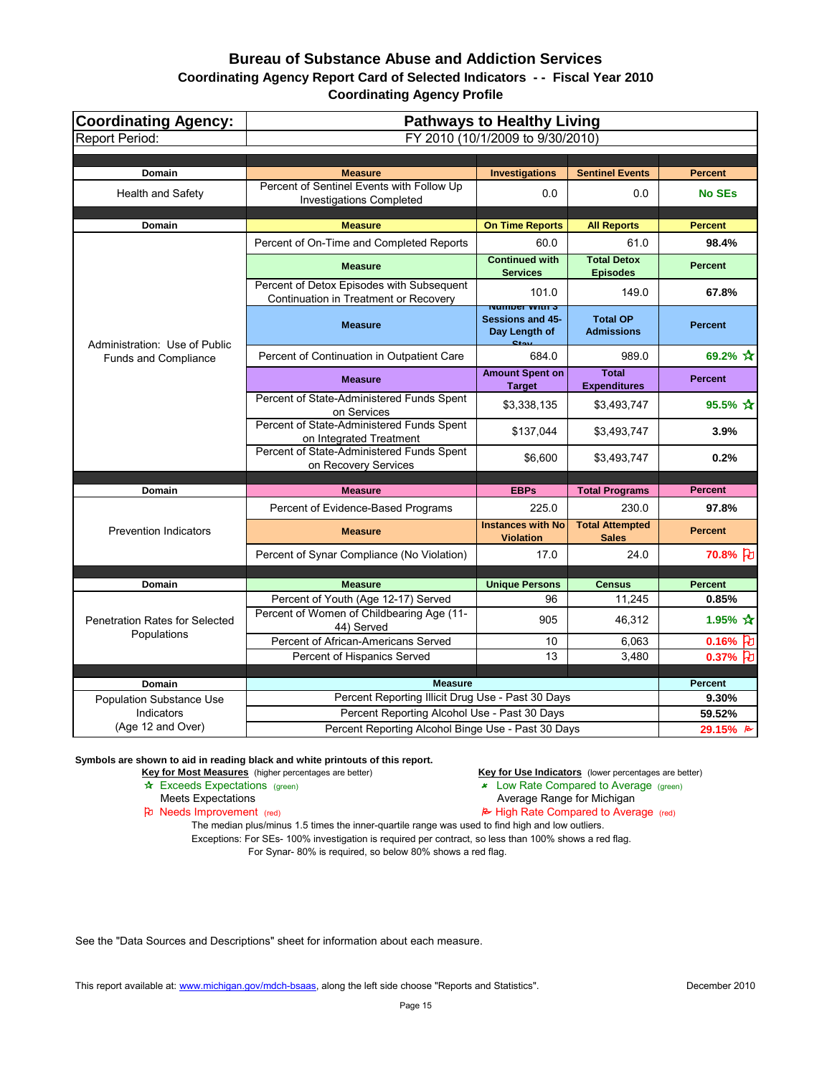| <b>Coordinating Agency:</b>                          | <b>Pathways to Healthy Living</b>                                                  |                                                                                      |                                        |                                   |
|------------------------------------------------------|------------------------------------------------------------------------------------|--------------------------------------------------------------------------------------|----------------------------------------|-----------------------------------|
| <b>Report Period:</b>                                |                                                                                    | FY 2010 (10/1/2009 to 9/30/2010)                                                     |                                        |                                   |
|                                                      |                                                                                    |                                                                                      |                                        |                                   |
| Domain                                               | <b>Measure</b>                                                                     | <b>Investigations</b>                                                                | <b>Sentinel Events</b>                 | <b>Percent</b>                    |
| <b>Health and Safety</b>                             | Percent of Sentinel Events with Follow Up<br><b>Investigations Completed</b>       | 0.0                                                                                  | 0.0                                    | <b>No SEs</b>                     |
| Domain                                               | <b>Measure</b>                                                                     | <b>On Time Reports</b>                                                               | <b>All Reports</b>                     | <b>Percent</b>                    |
|                                                      | Percent of On-Time and Completed Reports                                           | 60.0                                                                                 | 61.0                                   | 98.4%                             |
|                                                      | <b>Measure</b>                                                                     | <b>Continued with</b><br><b>Services</b>                                             | <b>Total Detox</b><br><b>Episodes</b>  | <b>Percent</b>                    |
|                                                      | Percent of Detox Episodes with Subsequent<br>Continuation in Treatment or Recovery | 101.0                                                                                | 149.0                                  | 67.8%                             |
| Administration: Use of Public                        | <b>Measure</b>                                                                     | <u>Number With S</u><br><b>Sessions and 45-</b><br>Day Length of<br>$C_{\text{Lou}}$ | <b>Total OP</b><br><b>Admissions</b>   | <b>Percent</b>                    |
| <b>Funds and Compliance</b>                          | Percent of Continuation in Outpatient Care                                         | 684.0                                                                                | 989.0                                  | 69.2% $\mathbf{\hat{x}}$          |
|                                                      | <b>Measure</b>                                                                     | <b>Amount Spent on</b><br><b>Target</b>                                              | <b>Total</b><br><b>Expenditures</b>    | <b>Percent</b>                    |
|                                                      | Percent of State-Administered Funds Spent<br>on Services                           | \$3,338,135                                                                          | \$3,493,747                            | 95.5% $\mathbf{\hat{x}}$          |
|                                                      | Percent of State-Administered Funds Spent<br>on Integrated Treatment               | \$137,044                                                                            | \$3,493,747                            | 3.9%                              |
|                                                      | Percent of State-Administered Funds Spent<br>on Recovery Services                  | \$6,600                                                                              | \$3,493,747                            | 0.2%                              |
|                                                      |                                                                                    |                                                                                      |                                        |                                   |
| Domain                                               | <b>Measure</b>                                                                     | <b>EBPs</b>                                                                          | <b>Total Programs</b>                  | <b>Percent</b>                    |
| <b>Prevention Indicators</b>                         | Percent of Evidence-Based Programs                                                 | 225.0                                                                                | 230.0                                  | 97.8%                             |
|                                                      | <b>Measure</b>                                                                     | <b>Instances with No</b><br><b>Violation</b>                                         | <b>Total Attempted</b><br><b>Sales</b> | <b>Percent</b>                    |
|                                                      | Percent of Synar Compliance (No Violation)                                         | 17.0                                                                                 | 24.0                                   | 70.8% 刊                           |
|                                                      |                                                                                    |                                                                                      |                                        |                                   |
| Domain                                               | <b>Measure</b>                                                                     | <b>Unique Persons</b>                                                                | <b>Census</b>                          | <b>Percent</b>                    |
| <b>Penetration Rates for Selected</b><br>Populations | Percent of Youth (Age 12-17) Served<br>Percent of Women of Childbearing Age (11-   | 96<br>905                                                                            | 11,245<br>46,312                       | 0.85%<br>1.95% $\mathbf{\hat{x}}$ |
|                                                      | 44) Served                                                                         |                                                                                      |                                        |                                   |
|                                                      | Percent of African-Americans Served                                                | 10                                                                                   | 6,063                                  | 0.16% $ E $                       |
|                                                      | Percent of Hispanics Served                                                        | 13                                                                                   | 3,480                                  | 0.37% $\vert \cdot \vert$         |
| Domain                                               | <b>Measure</b>                                                                     |                                                                                      |                                        | <b>Percent</b>                    |
| <b>Population Substance Use</b>                      | Percent Reporting Illicit Drug Use - Past 30 Days                                  |                                                                                      |                                        | 9.30%                             |
| Indicators                                           | Percent Reporting Alcohol Use - Past 30 Days                                       |                                                                                      |                                        | 59.52%                            |
| (Age 12 and Over)                                    | Percent Reporting Alcohol Binge Use - Past 30 Days                                 |                                                                                      |                                        | 29.15% $\approx$                  |

**Symbols are shown to aid in reading black and white printouts of this report.**

Key for Most Measures (higher percentages are better) **Key for Use Indicators** (lower percentages are better)

- \* Exceeds Expectations (green) 22 Cow Rate Compared to Average (green)
	-
- Meets Expectations<br> **Average Range for Michigan**<br> **Average Range for Michigan**<br> **Average Range for Michigan**<br> **Average Range for Michigan**<br> **Average Range for Michigan**  $\approx$  High Rate Compared to Average (red)

The median plus/minus 1.5 times the inner-quartile range was used to find high and low outliers. Exceptions: For SEs- 100% investigation is required per contract, so less than 100% shows a red flag. For Synar- 80% is required, so below 80% shows a red flag.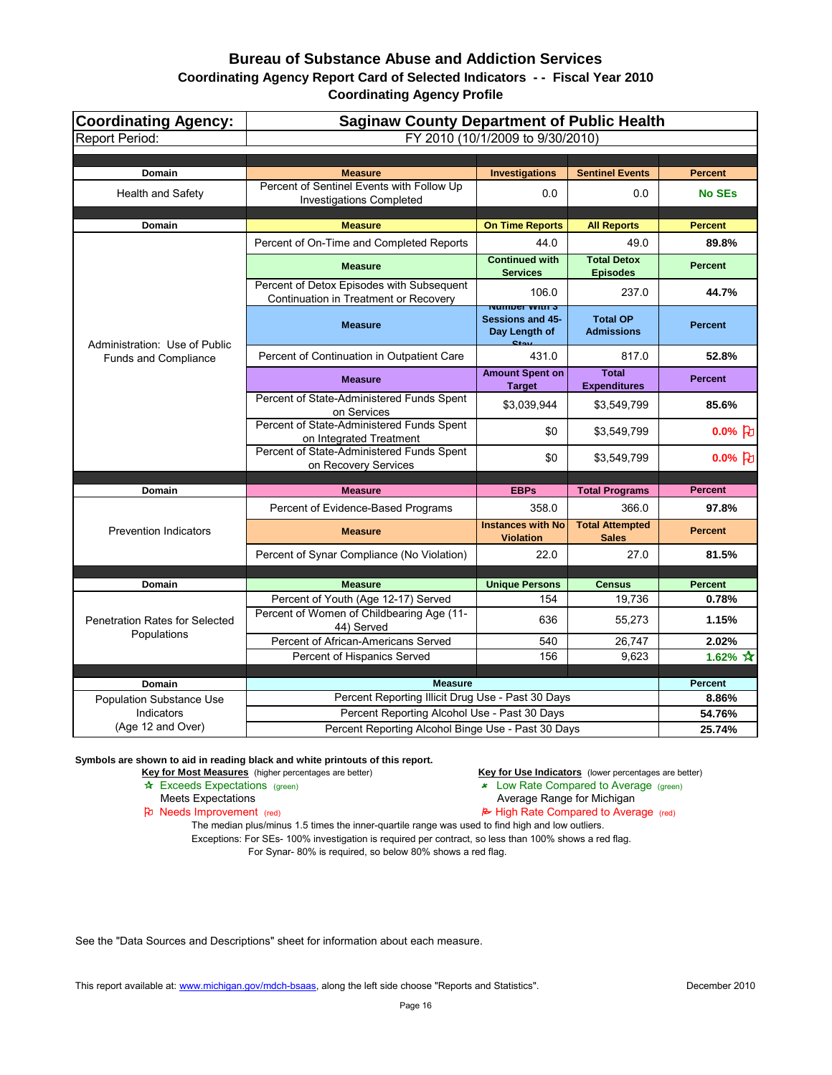| <b>Coordinating Agency:</b>                          | <b>Saginaw County Department of Public Health</b>                                  |                                                               |                                        |                     |
|------------------------------------------------------|------------------------------------------------------------------------------------|---------------------------------------------------------------|----------------------------------------|---------------------|
| <b>Report Period:</b>                                |                                                                                    | FY 2010 (10/1/2009 to 9/30/2010)                              |                                        |                     |
|                                                      |                                                                                    |                                                               |                                        |                     |
| <b>Domain</b>                                        | <b>Measure</b>                                                                     | <b>Investigations</b>                                         | <b>Sentinel Events</b>                 | <b>Percent</b>      |
| <b>Health and Safety</b>                             | Percent of Sentinel Events with Follow Up<br><b>Investigations Completed</b>       | 0.0                                                           | 0.0                                    | <b>No SEs</b>       |
| <b>Domain</b>                                        | <b>Measure</b>                                                                     | <b>On Time Reports</b>                                        | <b>All Reports</b>                     | <b>Percent</b>      |
|                                                      | Percent of On-Time and Completed Reports                                           | 44.0                                                          | 49.0                                   | 89.8%               |
|                                                      | <b>Measure</b>                                                                     | <b>Continued with</b><br><b>Services</b>                      | <b>Total Detox</b><br><b>Episodes</b>  | <b>Percent</b>      |
|                                                      | Percent of Detox Episodes with Subsequent<br>Continuation in Treatment or Recovery | 106.0<br><u>Number With S</u>                                 | 237.0                                  | 44.7%               |
| Administration: Use of Public                        | <b>Measure</b>                                                                     | <b>Sessions and 45-</b><br>Day Length of<br>$C_{\text{fast}}$ | <b>Total OP</b><br><b>Admissions</b>   | <b>Percent</b>      |
| <b>Funds and Compliance</b>                          | Percent of Continuation in Outpatient Care                                         | 431.0                                                         | 817.0                                  | 52.8%               |
|                                                      | <b>Measure</b>                                                                     | <b>Amount Spent on</b><br><b>Target</b>                       | <b>Total</b><br><b>Expenditures</b>    | <b>Percent</b>      |
|                                                      | Percent of State-Administered Funds Spent<br>on Services                           | \$3,039,944                                                   | \$3,549,799                            | 85.6%               |
|                                                      | Percent of State-Administered Funds Spent<br>on Integrated Treatment               | \$0                                                           | \$3,549,799                            | 0.0% $ d $          |
|                                                      | Percent of State-Administered Funds Spent<br>on Recovery Services                  | \$0                                                           | \$3,549,799                            | $0.0\%$ [七]         |
| <b>Domain</b>                                        | <b>Measure</b>                                                                     | <b>EBPs</b>                                                   | <b>Total Programs</b>                  | <b>Percent</b>      |
|                                                      | Percent of Evidence-Based Programs                                                 | 358.0                                                         | 366.0                                  | 97.8%               |
| <b>Prevention Indicators</b>                         | <b>Measure</b>                                                                     | <b>Instances with No</b><br><b>Violation</b>                  | <b>Total Attempted</b><br><b>Sales</b> | <b>Percent</b>      |
|                                                      | Percent of Synar Compliance (No Violation)                                         | 22.0                                                          | 27.0                                   | 81.5%               |
|                                                      |                                                                                    |                                                               |                                        |                     |
| <b>Domain</b>                                        | <b>Measure</b>                                                                     | <b>Unique Persons</b>                                         | <b>Census</b>                          | <b>Percent</b>      |
| <b>Penetration Rates for Selected</b><br>Populations | Percent of Youth (Age 12-17) Served<br>Percent of Women of Childbearing Age (11-   | 154                                                           | 19,736                                 | 0.78%               |
|                                                      | 44) Served                                                                         | 636                                                           | 55,273                                 | 1.15%               |
|                                                      | Percent of African-Americans Served                                                | 540                                                           | 26,747                                 | 2.02%               |
|                                                      | Percent of Hispanics Served                                                        | 156                                                           | 9,623                                  | 1.62% $\sqrt{\chi}$ |
| <b>Domain</b>                                        | <b>Measure</b>                                                                     |                                                               |                                        | <b>Percent</b>      |
| <b>Population Substance Use</b>                      | Percent Reporting Illicit Drug Use - Past 30 Days                                  |                                                               |                                        | 8.86%               |
| Indicators                                           | Percent Reporting Alcohol Use - Past 30 Days                                       |                                                               |                                        | 54.76%              |
| (Age 12 and Over)                                    | Percent Reporting Alcohol Binge Use - Past 30 Days                                 |                                                               |                                        | 25.74%              |

**Symbols are shown to aid in reading black and white printouts of this report.**

Key for Most Measures (higher percentages are better) **Key for Use Indicators** (lower percentages are better)

- \* Exceeds Expectations (green) 22 Cow Rate Compared to Average (green)
	-
- Meets Expectations<br> **Average Range for Michigan**<br> **Average Range for Michigan**<br> **Average Range for Michigan**<br> **Average Range for Michigan**<br> **Average Range for Michigan**  $\approx$  High Rate Compared to Average (red)

The median plus/minus 1.5 times the inner-quartile range was used to find high and low outliers. Exceptions: For SEs- 100% investigation is required per contract, so less than 100% shows a red flag. For Synar- 80% is required, so below 80% shows a red flag.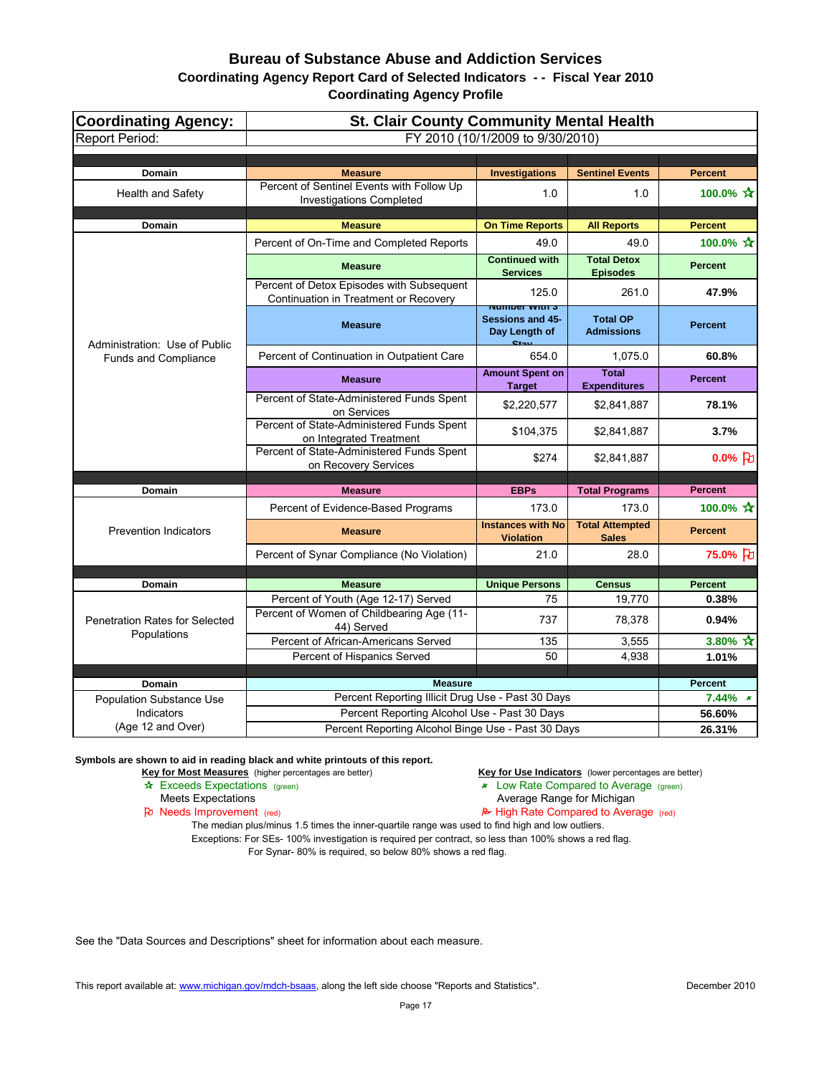# **Bureau of Substance Abuse and Addiction Services**

#### **Coordinating Agency Report Card of Selected Indicators - - Fiscal Year 2010 Coordinating Agency Profile**

| FY 2010 (10/1/2009 to 9/30/2010)<br>Domain<br><b>Investigations</b><br><b>Sentinel Events</b><br><b>Percent</b><br><b>Measure</b><br>Percent of Sentinel Events with Follow Up<br>100.0% $\mathbf{\hat{x}}$<br><b>Health and Safety</b><br>1.0<br>1.0<br><b>Investigations Completed</b><br><b>Measure</b><br><b>On Time Reports</b><br><b>Domain</b><br><b>All Reports</b><br><b>Percent</b><br>100.0% $\mathbf{\hat{x}}$<br>Percent of On-Time and Completed Reports<br>49.0<br>49.0<br><b>Continued with</b><br><b>Total Detox</b><br><b>Measure</b><br><b>Percent</b><br><b>Services</b><br><b>Episodes</b><br>Percent of Detox Episodes with Subsequent<br>125.0<br>47.9%<br>261.0<br>Continuation in Treatment or Recovery<br><u>Number With S</u><br><b>Sessions and 45-</b><br><b>Total OP</b><br><b>Percent</b><br><b>Measure</b><br>Day Length of<br><b>Admissions</b><br>$C_{\text{fast}}$<br>Administration: Use of Public<br>Percent of Continuation in Outpatient Care<br>654.0<br>1,075.0<br>60.8%<br><b>Funds and Compliance</b><br><b>Amount Spent on</b><br><b>Total</b><br><b>Percent</b><br><b>Measure</b><br><b>Expenditures</b><br><b>Target</b><br>Percent of State-Administered Funds Spent<br>78.1%<br>\$2,220,577<br>\$2,841,887<br>on Services<br>Percent of State-Administered Funds Spent<br>\$104,375<br>\$2,841,887<br>3.7%<br>on Integrated Treatment<br>Percent of State-Administered Funds Spent<br>\$274<br>\$2,841,887<br>on Recovery Services<br><b>EBPs</b><br>Domain<br><b>Total Programs</b><br><b>Percent</b><br><b>Measure</b><br>100.0% ☆<br>173.0<br>Percent of Evidence-Based Programs<br>173.0<br><b>Instances with No</b><br><b>Total Attempted</b><br><b>Prevention Indicators</b><br><b>Percent</b><br><b>Measure</b><br><b>Violation</b><br><b>Sales</b><br>75.0% }<br>Percent of Synar Compliance (No Violation)<br>21.0<br>28.0<br><b>Unique Persons</b><br><b>Percent</b><br>Domain<br><b>Measure</b><br><b>Census</b><br>Percent of Youth (Age 12-17) Served<br>75<br>19,770<br>0.38%<br>Percent of Women of Childbearing Age (11-<br>737<br>78,378<br>0.94%<br><b>Penetration Rates for Selected</b><br>44) Served<br>Populations<br>Percent of African-Americans Served<br>135<br>3,555<br>3.80% $\sqrt{\chi}$<br>Percent of Hispanics Served<br>50<br>1.01%<br>4,938 | <b>Coordinating Agency:</b> | <b>St. Clair County Community Mental Health</b> |  |  |  |
|-------------------------------------------------------------------------------------------------------------------------------------------------------------------------------------------------------------------------------------------------------------------------------------------------------------------------------------------------------------------------------------------------------------------------------------------------------------------------------------------------------------------------------------------------------------------------------------------------------------------------------------------------------------------------------------------------------------------------------------------------------------------------------------------------------------------------------------------------------------------------------------------------------------------------------------------------------------------------------------------------------------------------------------------------------------------------------------------------------------------------------------------------------------------------------------------------------------------------------------------------------------------------------------------------------------------------------------------------------------------------------------------------------------------------------------------------------------------------------------------------------------------------------------------------------------------------------------------------------------------------------------------------------------------------------------------------------------------------------------------------------------------------------------------------------------------------------------------------------------------------------------------------------------------------------------------------------------------------------------------------------------------------------------------------------------------------------------------------------------------------------------------------------------------------------------------------------------------------------------------------------------------------------------------------------------------------------|-----------------------------|-------------------------------------------------|--|--|--|
| 0.0% $\beta$                                                                                                                                                                                                                                                                                                                                                                                                                                                                                                                                                                                                                                                                                                                                                                                                                                                                                                                                                                                                                                                                                                                                                                                                                                                                                                                                                                                                                                                                                                                                                                                                                                                                                                                                                                                                                                                                                                                                                                                                                                                                                                                                                                                                                                                                                                                  | <b>Report Period:</b>       |                                                 |  |  |  |
|                                                                                                                                                                                                                                                                                                                                                                                                                                                                                                                                                                                                                                                                                                                                                                                                                                                                                                                                                                                                                                                                                                                                                                                                                                                                                                                                                                                                                                                                                                                                                                                                                                                                                                                                                                                                                                                                                                                                                                                                                                                                                                                                                                                                                                                                                                                               |                             |                                                 |  |  |  |
|                                                                                                                                                                                                                                                                                                                                                                                                                                                                                                                                                                                                                                                                                                                                                                                                                                                                                                                                                                                                                                                                                                                                                                                                                                                                                                                                                                                                                                                                                                                                                                                                                                                                                                                                                                                                                                                                                                                                                                                                                                                                                                                                                                                                                                                                                                                               |                             |                                                 |  |  |  |
|                                                                                                                                                                                                                                                                                                                                                                                                                                                                                                                                                                                                                                                                                                                                                                                                                                                                                                                                                                                                                                                                                                                                                                                                                                                                                                                                                                                                                                                                                                                                                                                                                                                                                                                                                                                                                                                                                                                                                                                                                                                                                                                                                                                                                                                                                                                               |                             |                                                 |  |  |  |
|                                                                                                                                                                                                                                                                                                                                                                                                                                                                                                                                                                                                                                                                                                                                                                                                                                                                                                                                                                                                                                                                                                                                                                                                                                                                                                                                                                                                                                                                                                                                                                                                                                                                                                                                                                                                                                                                                                                                                                                                                                                                                                                                                                                                                                                                                                                               |                             |                                                 |  |  |  |
|                                                                                                                                                                                                                                                                                                                                                                                                                                                                                                                                                                                                                                                                                                                                                                                                                                                                                                                                                                                                                                                                                                                                                                                                                                                                                                                                                                                                                                                                                                                                                                                                                                                                                                                                                                                                                                                                                                                                                                                                                                                                                                                                                                                                                                                                                                                               |                             |                                                 |  |  |  |
|                                                                                                                                                                                                                                                                                                                                                                                                                                                                                                                                                                                                                                                                                                                                                                                                                                                                                                                                                                                                                                                                                                                                                                                                                                                                                                                                                                                                                                                                                                                                                                                                                                                                                                                                                                                                                                                                                                                                                                                                                                                                                                                                                                                                                                                                                                                               |                             |                                                 |  |  |  |
|                                                                                                                                                                                                                                                                                                                                                                                                                                                                                                                                                                                                                                                                                                                                                                                                                                                                                                                                                                                                                                                                                                                                                                                                                                                                                                                                                                                                                                                                                                                                                                                                                                                                                                                                                                                                                                                                                                                                                                                                                                                                                                                                                                                                                                                                                                                               |                             |                                                 |  |  |  |
|                                                                                                                                                                                                                                                                                                                                                                                                                                                                                                                                                                                                                                                                                                                                                                                                                                                                                                                                                                                                                                                                                                                                                                                                                                                                                                                                                                                                                                                                                                                                                                                                                                                                                                                                                                                                                                                                                                                                                                                                                                                                                                                                                                                                                                                                                                                               |                             |                                                 |  |  |  |
|                                                                                                                                                                                                                                                                                                                                                                                                                                                                                                                                                                                                                                                                                                                                                                                                                                                                                                                                                                                                                                                                                                                                                                                                                                                                                                                                                                                                                                                                                                                                                                                                                                                                                                                                                                                                                                                                                                                                                                                                                                                                                                                                                                                                                                                                                                                               |                             |                                                 |  |  |  |
|                                                                                                                                                                                                                                                                                                                                                                                                                                                                                                                                                                                                                                                                                                                                                                                                                                                                                                                                                                                                                                                                                                                                                                                                                                                                                                                                                                                                                                                                                                                                                                                                                                                                                                                                                                                                                                                                                                                                                                                                                                                                                                                                                                                                                                                                                                                               |                             |                                                 |  |  |  |
|                                                                                                                                                                                                                                                                                                                                                                                                                                                                                                                                                                                                                                                                                                                                                                                                                                                                                                                                                                                                                                                                                                                                                                                                                                                                                                                                                                                                                                                                                                                                                                                                                                                                                                                                                                                                                                                                                                                                                                                                                                                                                                                                                                                                                                                                                                                               |                             |                                                 |  |  |  |
|                                                                                                                                                                                                                                                                                                                                                                                                                                                                                                                                                                                                                                                                                                                                                                                                                                                                                                                                                                                                                                                                                                                                                                                                                                                                                                                                                                                                                                                                                                                                                                                                                                                                                                                                                                                                                                                                                                                                                                                                                                                                                                                                                                                                                                                                                                                               |                             |                                                 |  |  |  |
|                                                                                                                                                                                                                                                                                                                                                                                                                                                                                                                                                                                                                                                                                                                                                                                                                                                                                                                                                                                                                                                                                                                                                                                                                                                                                                                                                                                                                                                                                                                                                                                                                                                                                                                                                                                                                                                                                                                                                                                                                                                                                                                                                                                                                                                                                                                               |                             |                                                 |  |  |  |
|                                                                                                                                                                                                                                                                                                                                                                                                                                                                                                                                                                                                                                                                                                                                                                                                                                                                                                                                                                                                                                                                                                                                                                                                                                                                                                                                                                                                                                                                                                                                                                                                                                                                                                                                                                                                                                                                                                                                                                                                                                                                                                                                                                                                                                                                                                                               |                             |                                                 |  |  |  |
|                                                                                                                                                                                                                                                                                                                                                                                                                                                                                                                                                                                                                                                                                                                                                                                                                                                                                                                                                                                                                                                                                                                                                                                                                                                                                                                                                                                                                                                                                                                                                                                                                                                                                                                                                                                                                                                                                                                                                                                                                                                                                                                                                                                                                                                                                                                               |                             |                                                 |  |  |  |
|                                                                                                                                                                                                                                                                                                                                                                                                                                                                                                                                                                                                                                                                                                                                                                                                                                                                                                                                                                                                                                                                                                                                                                                                                                                                                                                                                                                                                                                                                                                                                                                                                                                                                                                                                                                                                                                                                                                                                                                                                                                                                                                                                                                                                                                                                                                               |                             |                                                 |  |  |  |
|                                                                                                                                                                                                                                                                                                                                                                                                                                                                                                                                                                                                                                                                                                                                                                                                                                                                                                                                                                                                                                                                                                                                                                                                                                                                                                                                                                                                                                                                                                                                                                                                                                                                                                                                                                                                                                                                                                                                                                                                                                                                                                                                                                                                                                                                                                                               |                             |                                                 |  |  |  |
|                                                                                                                                                                                                                                                                                                                                                                                                                                                                                                                                                                                                                                                                                                                                                                                                                                                                                                                                                                                                                                                                                                                                                                                                                                                                                                                                                                                                                                                                                                                                                                                                                                                                                                                                                                                                                                                                                                                                                                                                                                                                                                                                                                                                                                                                                                                               |                             |                                                 |  |  |  |
|                                                                                                                                                                                                                                                                                                                                                                                                                                                                                                                                                                                                                                                                                                                                                                                                                                                                                                                                                                                                                                                                                                                                                                                                                                                                                                                                                                                                                                                                                                                                                                                                                                                                                                                                                                                                                                                                                                                                                                                                                                                                                                                                                                                                                                                                                                                               |                             |                                                 |  |  |  |
|                                                                                                                                                                                                                                                                                                                                                                                                                                                                                                                                                                                                                                                                                                                                                                                                                                                                                                                                                                                                                                                                                                                                                                                                                                                                                                                                                                                                                                                                                                                                                                                                                                                                                                                                                                                                                                                                                                                                                                                                                                                                                                                                                                                                                                                                                                                               |                             |                                                 |  |  |  |
|                                                                                                                                                                                                                                                                                                                                                                                                                                                                                                                                                                                                                                                                                                                                                                                                                                                                                                                                                                                                                                                                                                                                                                                                                                                                                                                                                                                                                                                                                                                                                                                                                                                                                                                                                                                                                                                                                                                                                                                                                                                                                                                                                                                                                                                                                                                               |                             |                                                 |  |  |  |
|                                                                                                                                                                                                                                                                                                                                                                                                                                                                                                                                                                                                                                                                                                                                                                                                                                                                                                                                                                                                                                                                                                                                                                                                                                                                                                                                                                                                                                                                                                                                                                                                                                                                                                                                                                                                                                                                                                                                                                                                                                                                                                                                                                                                                                                                                                                               |                             |                                                 |  |  |  |
|                                                                                                                                                                                                                                                                                                                                                                                                                                                                                                                                                                                                                                                                                                                                                                                                                                                                                                                                                                                                                                                                                                                                                                                                                                                                                                                                                                                                                                                                                                                                                                                                                                                                                                                                                                                                                                                                                                                                                                                                                                                                                                                                                                                                                                                                                                                               |                             |                                                 |  |  |  |
|                                                                                                                                                                                                                                                                                                                                                                                                                                                                                                                                                                                                                                                                                                                                                                                                                                                                                                                                                                                                                                                                                                                                                                                                                                                                                                                                                                                                                                                                                                                                                                                                                                                                                                                                                                                                                                                                                                                                                                                                                                                                                                                                                                                                                                                                                                                               |                             |                                                 |  |  |  |
|                                                                                                                                                                                                                                                                                                                                                                                                                                                                                                                                                                                                                                                                                                                                                                                                                                                                                                                                                                                                                                                                                                                                                                                                                                                                                                                                                                                                                                                                                                                                                                                                                                                                                                                                                                                                                                                                                                                                                                                                                                                                                                                                                                                                                                                                                                                               |                             |                                                 |  |  |  |
|                                                                                                                                                                                                                                                                                                                                                                                                                                                                                                                                                                                                                                                                                                                                                                                                                                                                                                                                                                                                                                                                                                                                                                                                                                                                                                                                                                                                                                                                                                                                                                                                                                                                                                                                                                                                                                                                                                                                                                                                                                                                                                                                                                                                                                                                                                                               |                             |                                                 |  |  |  |
| <b>Measure</b><br><b>Percent</b><br>Domain<br>Percent Reporting Illicit Drug Use - Past 30 Days<br>$7.44\%$ *                                                                                                                                                                                                                                                                                                                                                                                                                                                                                                                                                                                                                                                                                                                                                                                                                                                                                                                                                                                                                                                                                                                                                                                                                                                                                                                                                                                                                                                                                                                                                                                                                                                                                                                                                                                                                                                                                                                                                                                                                                                                                                                                                                                                                 |                             |                                                 |  |  |  |
| <b>Population Substance Use</b><br>Percent Reporting Alcohol Use - Past 30 Days<br>Indicators<br>56.60%                                                                                                                                                                                                                                                                                                                                                                                                                                                                                                                                                                                                                                                                                                                                                                                                                                                                                                                                                                                                                                                                                                                                                                                                                                                                                                                                                                                                                                                                                                                                                                                                                                                                                                                                                                                                                                                                                                                                                                                                                                                                                                                                                                                                                       |                             |                                                 |  |  |  |
| (Age 12 and Over)<br>Percent Reporting Alcohol Binge Use - Past 30 Days<br>26.31%                                                                                                                                                                                                                                                                                                                                                                                                                                                                                                                                                                                                                                                                                                                                                                                                                                                                                                                                                                                                                                                                                                                                                                                                                                                                                                                                                                                                                                                                                                                                                                                                                                                                                                                                                                                                                                                                                                                                                                                                                                                                                                                                                                                                                                             |                             |                                                 |  |  |  |

**Symbols are shown to aid in reading black and white printouts of this report.**

**Key for Most Measures** (higher percentages are better) **Key for Use Indicators** (lower percentages are better) **A**<br>**Exceeds Expectations** (green) **A** Exceeds Expectations (green)

- $\overline{\smash{\star}}$  Low Rate Compared to Average (green)
- Meets Expectations<br> **Average Range for Michigan**<br> **Average Range for Michigan**<br> **Average Range for Michigan**<br> **Average Range for Michigan**<br> **Average Range for Michigan**

 $\approx$  High Rate Compared to Average (red)

The median plus/minus 1.5 times the inner-quartile range was used to find high and low outliers. Exceptions: For SEs- 100% investigation is required per contract, so less than 100% shows a red flag. For Synar- 80% is required, so below 80% shows a red flag.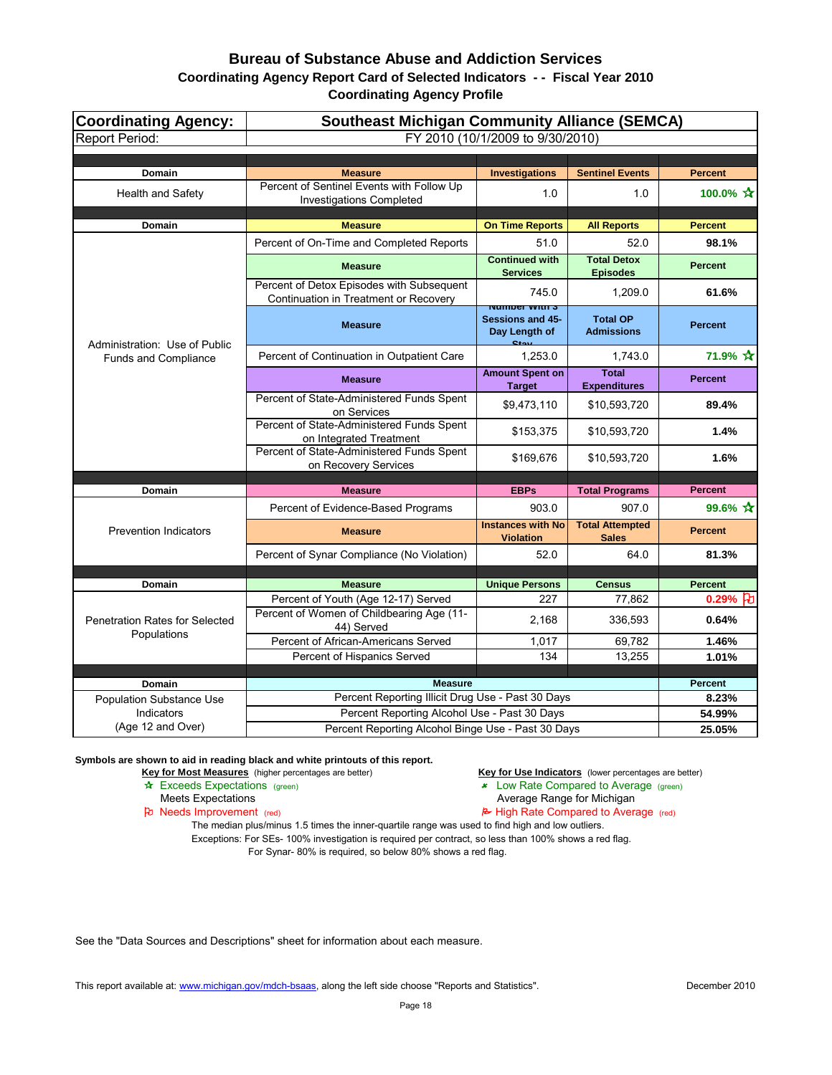| <b>Coordinating Agency:</b>                          | <b>Southeast Michigan Community Alliance (SEMCA)</b>                               |                                                                                       |                                        |                           |
|------------------------------------------------------|------------------------------------------------------------------------------------|---------------------------------------------------------------------------------------|----------------------------------------|---------------------------|
| <b>Report Period:</b>                                |                                                                                    | FY 2010 (10/1/2009 to 9/30/2010)                                                      |                                        |                           |
|                                                      |                                                                                    |                                                                                       |                                        |                           |
| <b>Domain</b>                                        | <b>Measure</b>                                                                     | <b>Investigations</b>                                                                 | <b>Sentinel Events</b>                 | <b>Percent</b>            |
| <b>Health and Safety</b>                             | Percent of Sentinel Events with Follow Up<br><b>Investigations Completed</b>       | 1.0                                                                                   | 1.0                                    | 100.0% $\mathbf{\hat{x}}$ |
| Domain                                               | <b>Measure</b>                                                                     | <b>On Time Reports</b>                                                                | <b>All Reports</b>                     | <b>Percent</b>            |
|                                                      | Percent of On-Time and Completed Reports                                           | 51.0                                                                                  | 52.0                                   | 98.1%                     |
|                                                      | <b>Measure</b>                                                                     | <b>Continued with</b><br><b>Services</b>                                              | <b>Total Detox</b><br><b>Episodes</b>  | <b>Percent</b>            |
|                                                      | Percent of Detox Episodes with Subsequent<br>Continuation in Treatment or Recovery | 745.0                                                                                 | 1,209.0                                | 61.6%                     |
| Administration: Use of Public                        | <b>Measure</b>                                                                     | <u>Number With S</u><br><b>Sessions and 45-</b><br>Day Length of<br>$C_{\text{data}}$ | <b>Total OP</b><br><b>Admissions</b>   | <b>Percent</b>            |
| Funds and Compliance                                 | Percent of Continuation in Outpatient Care                                         | 1,253.0                                                                               | 1,743.0                                | 71.9% ☆                   |
|                                                      | <b>Measure</b>                                                                     | <b>Amount Spent on</b><br><b>Target</b>                                               | <b>Total</b><br><b>Expenditures</b>    | <b>Percent</b>            |
|                                                      | Percent of State-Administered Funds Spent<br>on Services                           | \$9,473,110                                                                           | \$10,593,720                           | 89.4%                     |
|                                                      | Percent of State-Administered Funds Spent<br>on Integrated Treatment               | \$153,375                                                                             | \$10,593,720                           | 1.4%                      |
|                                                      | Percent of State-Administered Funds Spent<br>on Recovery Services                  | \$169,676                                                                             | \$10,593,720                           | 1.6%                      |
| <b>Domain</b>                                        | <b>Measure</b>                                                                     | <b>EBPs</b>                                                                           | <b>Total Programs</b>                  | <b>Percent</b>            |
|                                                      | Percent of Evidence-Based Programs                                                 | 903.0                                                                                 | 907.0                                  | 99.6% $\star$             |
| <b>Prevention Indicators</b>                         | <b>Measure</b>                                                                     | <b>Instances with No</b><br><b>Violation</b>                                          | <b>Total Attempted</b><br><b>Sales</b> | <b>Percent</b>            |
|                                                      | Percent of Synar Compliance (No Violation)                                         | 52.0                                                                                  | 64.0                                   | 81.3%                     |
|                                                      |                                                                                    |                                                                                       |                                        |                           |
| <b>Domain</b>                                        | <b>Measure</b>                                                                     | <b>Unique Persons</b>                                                                 | <b>Census</b>                          | <b>Percent</b>            |
| <b>Penetration Rates for Selected</b><br>Populations | Percent of Youth (Age 12-17) Served<br>Percent of Women of Childbearing Age (11-   | 227<br>2,168                                                                          | 77,862<br>336,593                      | 0.29% $\beta$<br>0.64%    |
|                                                      | 44) Served<br>Percent of African-Americans Served                                  | 1,017                                                                                 | 69,782                                 | 1.46%                     |
|                                                      | Percent of Hispanics Served                                                        | 134                                                                                   | 13,255                                 | 1.01%                     |
|                                                      |                                                                                    |                                                                                       |                                        |                           |
| <b>Domain</b>                                        | <b>Measure</b>                                                                     |                                                                                       |                                        | <b>Percent</b>            |
| <b>Population Substance Use</b>                      | Percent Reporting Illicit Drug Use - Past 30 Days                                  |                                                                                       |                                        | 8.23%                     |
| Indicators                                           | Percent Reporting Alcohol Use - Past 30 Days                                       |                                                                                       |                                        | 54.99%                    |
| (Age 12 and Over)                                    | Percent Reporting Alcohol Binge Use - Past 30 Days                                 |                                                                                       |                                        | 25.05%                    |

**Symbols are shown to aid in reading black and white printouts of this report.**

Key for Most Measures (higher percentages are better) **Key for Use Indicators** (lower percentages are better)

- \* Exceeds Expectations (green) 22 Cow Rate Compared to Average (green)
	-
- Meets Expectations<br> **Average Range for Michigan**<br> **Average Range for Michigan**<br> **Average Range for Michigan**<br> **Average Range for Michigan**<br> **Average Range for Michigan**  $\approx$  High Rate Compared to Average (red)

The median plus/minus 1.5 times the inner-quartile range was used to find high and low outliers. Exceptions: For SEs- 100% investigation is required per contract, so less than 100% shows a red flag. For Synar- 80% is required, so below 80% shows a red flag.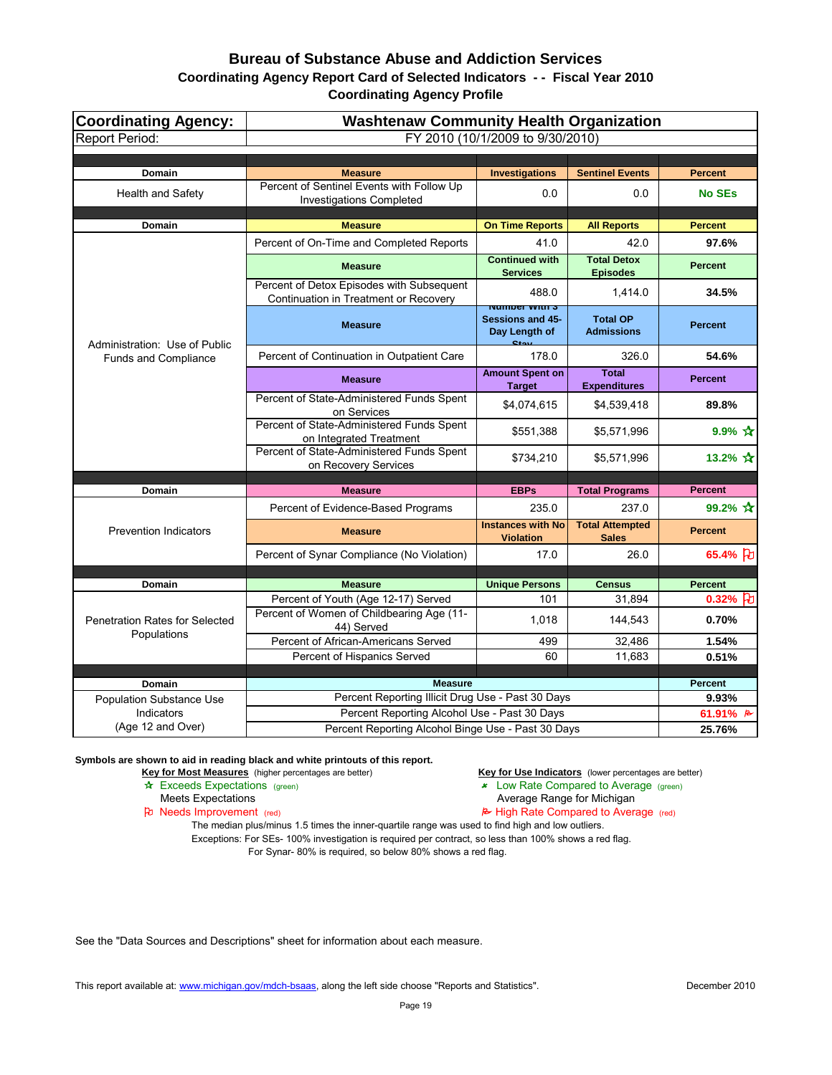| FY 2010 (10/1/2009 to 9/30/2010)<br><b>Domain</b><br><b>Measure</b><br><b>Investigations</b><br><b>Sentinel Events</b><br><b>Percent</b><br>Percent of Sentinel Events with Follow Up<br><b>Health and Safety</b><br>0.0<br>0.0<br><b>No SEs</b><br><b>Investigations Completed</b><br>Domain<br><b>Measure</b><br><b>On Time Reports</b><br><b>All Reports</b><br><b>Percent</b><br>Percent of On-Time and Completed Reports<br>41.0<br>42.0<br>97.6%<br><b>Continued with</b><br><b>Total Detox</b><br><b>Percent</b><br><b>Measure</b><br><b>Services</b><br><b>Episodes</b><br>Percent of Detox Episodes with Subsequent<br>488.0<br>1,414.0<br>34.5%<br>Continuation in Treatment or Recovery<br><u>Number With S</u><br><b>Sessions and 45-</b><br><b>Total OP</b><br><b>Percent</b><br><b>Measure</b><br>Day Length of<br><b>Admissions</b><br>$C_{\text{ion}}$<br>Administration: Use of Public<br>Percent of Continuation in Outpatient Care<br>178.0<br>326.0<br>54.6%<br>Funds and Compliance<br><b>Amount Spent on</b><br><b>Total</b><br><b>Percent</b><br><b>Measure</b><br><b>Expenditures</b><br><b>Target</b><br>Percent of State-Administered Funds Spent<br>\$4,074,615<br>\$4,539,418<br>89.8%<br>on Services<br>Percent of State-Administered Funds Spent<br>$9.9\% \; \star$<br>\$551,388<br>\$5,571,996<br>on Integrated Treatment<br>Percent of State-Administered Funds Spent<br>13.2% $\frac{1}{11}$<br>\$734,210<br>\$5,571,996<br>on Recovery Services<br>Domain<br><b>EBPs</b><br><b>Total Programs</b><br><b>Measure</b><br><b>Percent</b><br>99.2% $\star$<br>Percent of Evidence-Based Programs<br>235.0<br>237.0<br><b>Instances with No</b><br><b>Total Attempted</b><br><b>Prevention Indicators</b><br><b>Percent</b><br><b>Measure</b><br><b>Violation</b><br><b>Sales</b><br>65.4% }<br>Percent of Synar Compliance (No Violation)<br>17.0<br>26.0<br><b>Unique Persons</b><br><b>Percent</b><br><b>Domain</b><br><b>Measure</b><br><b>Census</b><br>Percent of Youth (Age 12-17) Served<br>101<br>31,894<br>0.32% $ d $<br>Percent of Women of Childbearing Age (11-<br>144,543<br>0.70%<br>1,018<br><b>Penetration Rates for Selected</b><br>44) Served | <b>Coordinating Agency:</b> | <b>Washtenaw Community Health Organization</b> |  |  |  |
|-------------------------------------------------------------------------------------------------------------------------------------------------------------------------------------------------------------------------------------------------------------------------------------------------------------------------------------------------------------------------------------------------------------------------------------------------------------------------------------------------------------------------------------------------------------------------------------------------------------------------------------------------------------------------------------------------------------------------------------------------------------------------------------------------------------------------------------------------------------------------------------------------------------------------------------------------------------------------------------------------------------------------------------------------------------------------------------------------------------------------------------------------------------------------------------------------------------------------------------------------------------------------------------------------------------------------------------------------------------------------------------------------------------------------------------------------------------------------------------------------------------------------------------------------------------------------------------------------------------------------------------------------------------------------------------------------------------------------------------------------------------------------------------------------------------------------------------------------------------------------------------------------------------------------------------------------------------------------------------------------------------------------------------------------------------------------------------------------------------------------------------------------------------------------------------------------|-----------------------------|------------------------------------------------|--|--|--|
|                                                                                                                                                                                                                                                                                                                                                                                                                                                                                                                                                                                                                                                                                                                                                                                                                                                                                                                                                                                                                                                                                                                                                                                                                                                                                                                                                                                                                                                                                                                                                                                                                                                                                                                                                                                                                                                                                                                                                                                                                                                                                                                                                                                                 | <b>Report Period:</b>       |                                                |  |  |  |
|                                                                                                                                                                                                                                                                                                                                                                                                                                                                                                                                                                                                                                                                                                                                                                                                                                                                                                                                                                                                                                                                                                                                                                                                                                                                                                                                                                                                                                                                                                                                                                                                                                                                                                                                                                                                                                                                                                                                                                                                                                                                                                                                                                                                 |                             |                                                |  |  |  |
|                                                                                                                                                                                                                                                                                                                                                                                                                                                                                                                                                                                                                                                                                                                                                                                                                                                                                                                                                                                                                                                                                                                                                                                                                                                                                                                                                                                                                                                                                                                                                                                                                                                                                                                                                                                                                                                                                                                                                                                                                                                                                                                                                                                                 |                             |                                                |  |  |  |
|                                                                                                                                                                                                                                                                                                                                                                                                                                                                                                                                                                                                                                                                                                                                                                                                                                                                                                                                                                                                                                                                                                                                                                                                                                                                                                                                                                                                                                                                                                                                                                                                                                                                                                                                                                                                                                                                                                                                                                                                                                                                                                                                                                                                 |                             |                                                |  |  |  |
|                                                                                                                                                                                                                                                                                                                                                                                                                                                                                                                                                                                                                                                                                                                                                                                                                                                                                                                                                                                                                                                                                                                                                                                                                                                                                                                                                                                                                                                                                                                                                                                                                                                                                                                                                                                                                                                                                                                                                                                                                                                                                                                                                                                                 |                             |                                                |  |  |  |
|                                                                                                                                                                                                                                                                                                                                                                                                                                                                                                                                                                                                                                                                                                                                                                                                                                                                                                                                                                                                                                                                                                                                                                                                                                                                                                                                                                                                                                                                                                                                                                                                                                                                                                                                                                                                                                                                                                                                                                                                                                                                                                                                                                                                 |                             |                                                |  |  |  |
|                                                                                                                                                                                                                                                                                                                                                                                                                                                                                                                                                                                                                                                                                                                                                                                                                                                                                                                                                                                                                                                                                                                                                                                                                                                                                                                                                                                                                                                                                                                                                                                                                                                                                                                                                                                                                                                                                                                                                                                                                                                                                                                                                                                                 |                             |                                                |  |  |  |
|                                                                                                                                                                                                                                                                                                                                                                                                                                                                                                                                                                                                                                                                                                                                                                                                                                                                                                                                                                                                                                                                                                                                                                                                                                                                                                                                                                                                                                                                                                                                                                                                                                                                                                                                                                                                                                                                                                                                                                                                                                                                                                                                                                                                 |                             |                                                |  |  |  |
|                                                                                                                                                                                                                                                                                                                                                                                                                                                                                                                                                                                                                                                                                                                                                                                                                                                                                                                                                                                                                                                                                                                                                                                                                                                                                                                                                                                                                                                                                                                                                                                                                                                                                                                                                                                                                                                                                                                                                                                                                                                                                                                                                                                                 |                             |                                                |  |  |  |
|                                                                                                                                                                                                                                                                                                                                                                                                                                                                                                                                                                                                                                                                                                                                                                                                                                                                                                                                                                                                                                                                                                                                                                                                                                                                                                                                                                                                                                                                                                                                                                                                                                                                                                                                                                                                                                                                                                                                                                                                                                                                                                                                                                                                 |                             |                                                |  |  |  |
|                                                                                                                                                                                                                                                                                                                                                                                                                                                                                                                                                                                                                                                                                                                                                                                                                                                                                                                                                                                                                                                                                                                                                                                                                                                                                                                                                                                                                                                                                                                                                                                                                                                                                                                                                                                                                                                                                                                                                                                                                                                                                                                                                                                                 |                             |                                                |  |  |  |
|                                                                                                                                                                                                                                                                                                                                                                                                                                                                                                                                                                                                                                                                                                                                                                                                                                                                                                                                                                                                                                                                                                                                                                                                                                                                                                                                                                                                                                                                                                                                                                                                                                                                                                                                                                                                                                                                                                                                                                                                                                                                                                                                                                                                 |                             |                                                |  |  |  |
|                                                                                                                                                                                                                                                                                                                                                                                                                                                                                                                                                                                                                                                                                                                                                                                                                                                                                                                                                                                                                                                                                                                                                                                                                                                                                                                                                                                                                                                                                                                                                                                                                                                                                                                                                                                                                                                                                                                                                                                                                                                                                                                                                                                                 |                             |                                                |  |  |  |
|                                                                                                                                                                                                                                                                                                                                                                                                                                                                                                                                                                                                                                                                                                                                                                                                                                                                                                                                                                                                                                                                                                                                                                                                                                                                                                                                                                                                                                                                                                                                                                                                                                                                                                                                                                                                                                                                                                                                                                                                                                                                                                                                                                                                 |                             |                                                |  |  |  |
|                                                                                                                                                                                                                                                                                                                                                                                                                                                                                                                                                                                                                                                                                                                                                                                                                                                                                                                                                                                                                                                                                                                                                                                                                                                                                                                                                                                                                                                                                                                                                                                                                                                                                                                                                                                                                                                                                                                                                                                                                                                                                                                                                                                                 |                             |                                                |  |  |  |
|                                                                                                                                                                                                                                                                                                                                                                                                                                                                                                                                                                                                                                                                                                                                                                                                                                                                                                                                                                                                                                                                                                                                                                                                                                                                                                                                                                                                                                                                                                                                                                                                                                                                                                                                                                                                                                                                                                                                                                                                                                                                                                                                                                                                 |                             |                                                |  |  |  |
|                                                                                                                                                                                                                                                                                                                                                                                                                                                                                                                                                                                                                                                                                                                                                                                                                                                                                                                                                                                                                                                                                                                                                                                                                                                                                                                                                                                                                                                                                                                                                                                                                                                                                                                                                                                                                                                                                                                                                                                                                                                                                                                                                                                                 |                             |                                                |  |  |  |
|                                                                                                                                                                                                                                                                                                                                                                                                                                                                                                                                                                                                                                                                                                                                                                                                                                                                                                                                                                                                                                                                                                                                                                                                                                                                                                                                                                                                                                                                                                                                                                                                                                                                                                                                                                                                                                                                                                                                                                                                                                                                                                                                                                                                 |                             |                                                |  |  |  |
|                                                                                                                                                                                                                                                                                                                                                                                                                                                                                                                                                                                                                                                                                                                                                                                                                                                                                                                                                                                                                                                                                                                                                                                                                                                                                                                                                                                                                                                                                                                                                                                                                                                                                                                                                                                                                                                                                                                                                                                                                                                                                                                                                                                                 |                             |                                                |  |  |  |
|                                                                                                                                                                                                                                                                                                                                                                                                                                                                                                                                                                                                                                                                                                                                                                                                                                                                                                                                                                                                                                                                                                                                                                                                                                                                                                                                                                                                                                                                                                                                                                                                                                                                                                                                                                                                                                                                                                                                                                                                                                                                                                                                                                                                 |                             |                                                |  |  |  |
|                                                                                                                                                                                                                                                                                                                                                                                                                                                                                                                                                                                                                                                                                                                                                                                                                                                                                                                                                                                                                                                                                                                                                                                                                                                                                                                                                                                                                                                                                                                                                                                                                                                                                                                                                                                                                                                                                                                                                                                                                                                                                                                                                                                                 |                             |                                                |  |  |  |
|                                                                                                                                                                                                                                                                                                                                                                                                                                                                                                                                                                                                                                                                                                                                                                                                                                                                                                                                                                                                                                                                                                                                                                                                                                                                                                                                                                                                                                                                                                                                                                                                                                                                                                                                                                                                                                                                                                                                                                                                                                                                                                                                                                                                 | Populations                 |                                                |  |  |  |
| Percent of African-Americans Served<br>499<br>32,486<br>1.54%                                                                                                                                                                                                                                                                                                                                                                                                                                                                                                                                                                                                                                                                                                                                                                                                                                                                                                                                                                                                                                                                                                                                                                                                                                                                                                                                                                                                                                                                                                                                                                                                                                                                                                                                                                                                                                                                                                                                                                                                                                                                                                                                   |                             |                                                |  |  |  |
| Percent of Hispanics Served<br>60<br>11,683<br>0.51%                                                                                                                                                                                                                                                                                                                                                                                                                                                                                                                                                                                                                                                                                                                                                                                                                                                                                                                                                                                                                                                                                                                                                                                                                                                                                                                                                                                                                                                                                                                                                                                                                                                                                                                                                                                                                                                                                                                                                                                                                                                                                                                                            |                             |                                                |  |  |  |
|                                                                                                                                                                                                                                                                                                                                                                                                                                                                                                                                                                                                                                                                                                                                                                                                                                                                                                                                                                                                                                                                                                                                                                                                                                                                                                                                                                                                                                                                                                                                                                                                                                                                                                                                                                                                                                                                                                                                                                                                                                                                                                                                                                                                 |                             |                                                |  |  |  |
| <b>Measure</b><br>Domain<br><b>Percent</b>                                                                                                                                                                                                                                                                                                                                                                                                                                                                                                                                                                                                                                                                                                                                                                                                                                                                                                                                                                                                                                                                                                                                                                                                                                                                                                                                                                                                                                                                                                                                                                                                                                                                                                                                                                                                                                                                                                                                                                                                                                                                                                                                                      |                             |                                                |  |  |  |
| Percent Reporting Illicit Drug Use - Past 30 Days<br>9.93%<br><b>Population Substance Use</b><br>Percent Reporting Alcohol Use - Past 30 Days<br>Indicators<br>61.91% $\approx$                                                                                                                                                                                                                                                                                                                                                                                                                                                                                                                                                                                                                                                                                                                                                                                                                                                                                                                                                                                                                                                                                                                                                                                                                                                                                                                                                                                                                                                                                                                                                                                                                                                                                                                                                                                                                                                                                                                                                                                                                 |                             |                                                |  |  |  |
| (Age 12 and Over)<br>Percent Reporting Alcohol Binge Use - Past 30 Days<br>25.76%                                                                                                                                                                                                                                                                                                                                                                                                                                                                                                                                                                                                                                                                                                                                                                                                                                                                                                                                                                                                                                                                                                                                                                                                                                                                                                                                                                                                                                                                                                                                                                                                                                                                                                                                                                                                                                                                                                                                                                                                                                                                                                               |                             |                                                |  |  |  |

**Symbols are shown to aid in reading black and white printouts of this report.**

Key for Most Measures (higher percentages are better) **Key for Use Indicators** (lower percentages are better)

- \* Exceeds Expectations (green) 22 Cow Rate Compared to Average (green)
	-

Meets Expectations<br> **Average Range for Michigan**<br> **Average Range for Michigan**<br> **Average Range for Michigan**<br> **Average Range for Michigan**<br> **Average Range for Michigan**  $\approx$  High Rate Compared to Average (red)

The median plus/minus 1.5 times the inner-quartile range was used to find high and low outliers. Exceptions: For SEs- 100% investigation is required per contract, so less than 100% shows a red flag. For Synar- 80% is required, so below 80% shows a red flag.